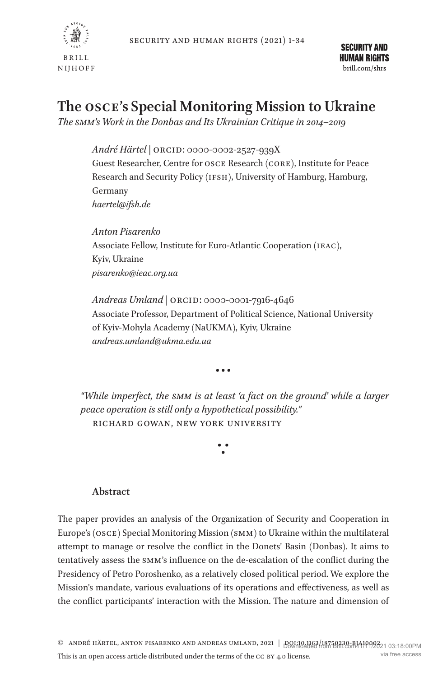

# **The osce's Special Monitoring Mission to Ukraine**

*Thesmm's Work in the Donbas and Its Ukrainian Critique in 2014–2019*

*André Härtel |* ORCID: 0000-0002-2527-939X Guest Researcher, Centre for OSCE Research (CORE), Institute for Peace Research and Security Policy (IFSH), University of Hamburg, Hamburg, Germany *haertel@ifsh.de*

*Anton Pisarenko* Associate Fellow, Institute for Euro-Atlantic Cooperation (IEAC), Kyiv, Ukraine *pisarenko@ieac.org.ua*

*Andreas Umland |* ORCID: 0000-0001-7916-4646 Associate Professor, Department of Political Science, National University of Kyiv-Mohyla Academy (NaUKMA), Kyiv, Ukraine *andreas.umland@ukma.edu.ua*

…

*"While imperfect, the smm is at least 'a fact on the ground' while a larger peace operation is still only a hypothetical possibility."* richard gowan, new york university

∵

# **Abstract**

The paper provides an analysis of the Organization of Security and Cooperation in Europe's (OSCE) Special Monitoring Mission (SMM) to Ukraine within the multilateral attempt to manage or resolve the conflict in the Donets' Basin (Donbas). It aims to tentatively assess the SMM's influence on the de-escalation of the conflict during the Presidency of Petro Poroshenko, as a relatively closed political period. We explore the Mission's mandate, various evaluations of its operations and effectiveness, as well as the conflict participants' interaction with the Mission. The nature and dimension of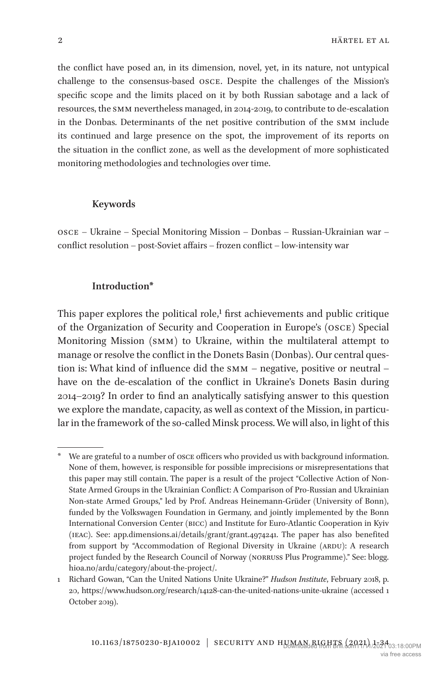the conflict have posed an, in its dimension, novel, yet, in its nature, not untypical challenge to the consensus-based OSCE. Despite the challenges of the Mission's specific scope and the limits placed on it by both Russian sabotage and a lack of resources, the SMM nevertheless managed, in 2014-2019, to contribute to de-escalation in the Donbas. Determinants of the net positive contribution of the SMM include its continued and large presence on the spot, the improvement of its reports on the situation in the conflict zone, as well as the development of more sophisticated monitoring methodologies and technologies over time.

#### **Keywords**

OSCE – Ukraine – Special Monitoring Mission – Donbas – Russian-Ukrainian war – conflict resolution – post-Soviet affairs – frozen conflict – low-intensity war

### **Introductio[n\\*](#page-1-0)**

This paper explores the political role, $1$  first achievements and public critique of the Organization of Security and Cooperation in Europe's (osce) Special Monitoring Mission (SMM) to Ukraine, within the multilateral attempt to manage or resolve the conflict in the Donets Basin (Donbas). Our central question is: What kind of influence did the smm – negative, positive or neutral – have on the de-escalation of the conflict in Ukraine's Donets Basin during 2014–2019? In order to find an analytically satisfying answer to this question we explore the mandate, capacity, as well as context of the Mission, in particular in the framework of the so-called Minsk process. We will also, in light of this

<span id="page-1-0"></span>We are grateful to a number of OSCE officers who provided us with background information. None of them, however, is responsible for possible imprecisions or misrepresentations that this paper may still contain. The paper is a result of the project "Collective Action of Non-State Armed Groups in the Ukrainian Conflict: A Comparison of Pro-Russian and Ukrainian Non-state Armed Groups," led by Prof. Andreas Heinemann-Grüder (University of Bonn), funded by the Volkswagen Foundation in Germany, and jointly implemented by the Bonn International Conversion Center (bicc) and Institute for Euro-Atlantic Cooperation in Kyiv (ieac). See: app.dimensions.ai/details/grant/grant.4974241. The paper has also benefited from support by "Accommodation of Regional Diversity in Ukraine (ARDU): A research project funded by the Research Council of Norway (norruss Plus Programme)." See: blogg. hioa.no/ardu/category/about-the-project/.

<span id="page-1-1"></span><sup>1</sup> Richard Gowan, "Can the United Nations Unite Ukraine?" *Hudson Institute*, February 2018, p. 20, <https://www.hudson.org/research/14128-can-the-united-nations-unite-ukraine> (accessed 1 October 2019).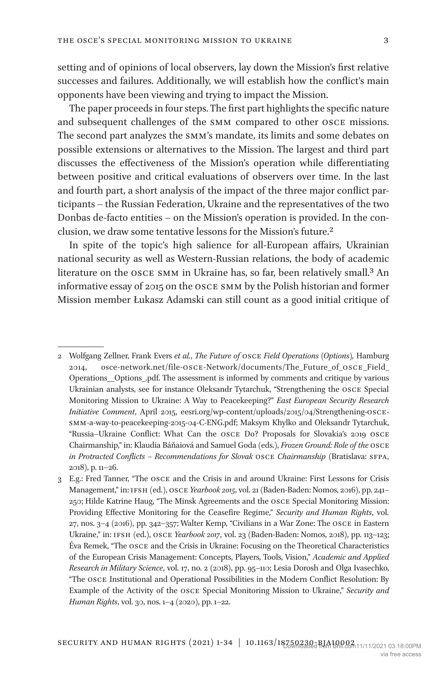setting and of opinions of local observers, lay down the Mission's first relative successes and failures. Additionally, we will establish how the conflict's main opponents have been viewing and trying to impact the Mission.

The paper proceeds in four steps. The first part highlights the specific nature and subsequent challenges of the smm compared to other osce missions. The second part analyzes the smm's mandate, its limits and some debates on possible extensions or alternatives to the Mission. The largest and third part discusses the effectiveness of the Mission's operation while differentiating between positive and critical evaluations of observers over time. In the last and fourth part, a short analysis of the impact of the three major conflict participants – the Russian Federation, Ukraine and the representatives of the two Donbas de-facto entities – on the Mission's operation is provided. In the conclusion, we draw some tentative lessons for the Mission's future.[2](#page-2-0)

In spite of the topic's high salience for all-European affairs, Ukrainian national security as well as Western-Russian relations, the body of academic literature on the osce smm in Ukraine has, so far, been relatively small.[3](#page-2-1) An informative essay of 2015 on the osce smm by the Polish historian and former Mission member Łukasz Adamski can still count as a good initial critique of

<span id="page-2-0"></span><sup>2</sup> Wolfgang Zellner, Frank Evers *et al.*, *The Future of* OSCE *Field Operations (Options),* Hamburg 2014, osce-network.net/file-OSCE-Network/documents/The\_Future\_of\_OSCE\_Field\_ Operations\_\_Options\_.pdf. The assessment is informed by comments and critique by various Ukrainian analysts, see for instance Oleksandr Tytarchuk, "Strengthening the osce Special Monitoring Mission to Ukraine: A Way to Peacekeeping?" *East European Security Research Initiative Comment*, April 2015, eesri.org/wp-content/uploads/2015/04/Strengthening-OSCE-SMM-a-way-to-peacekeeping-2015-04-C-ENG.pdf; Maksym Khylko and Oleksandr Tytarchuk, "Russia–Ukraine Conflict: What Can the osce Do? Proposals for Slovakia's 2019 osce Chairmanship," in: Klaudia Báňaiová and Samuel Goda (eds.), *Frozen Ground: Role of the* OSCE *in Protracted Conflicts - Recommendations for Slovak OSCE Chairmanship* (Bratislava: SFPA, 2018), p. 11–26.

<span id="page-2-1"></span><sup>3</sup> E.g.: Fred Tanner, "The osce and the Crisis in and around Ukraine: First Lessons for Crisis Management," in: ifsh (ed.), OSCE *Yearbook 2015*, vol. 21 (Baden-Baden: Nomos, 2016), pp. 241– 250; Hilde Katrine Haug, "The Minsk Agreements and the osce Special Monitoring Mission: Providing Effective Monitoring for the Ceasefire Regime," *Security and Human Rights*, vol. 27, nos. 3–4 (2016), pp. 342–357; Walter Kemp, "Civilians in a War Zone: The osce in Eastern Ukraine," in: ifsh (ed.), OSCE *Yearbook 2017*, vol. 23 (Baden-Baden: Nomos, 2018), pp. 113–123; Éva Remek, "The osce and the Crisis in Ukraine: Focusing on the Theoretical Characteristics of the European Crisis Management: Concepts, Players, Tools, Vision," *Academic and Applied Research in Military Science*, vol. 17, no. 2 (2018), pp. 95–110; Lesia Dorosh and Olga Ivasechko, "The osce Institutional and Operational Possibilities in the Modern Conflict Resolution: By Example of the Activity of the osce Special Monitoring Mission to Ukraine," *Security and Human Rights*, vol. 30, nos. 1–4 (2020), pp. 1–22.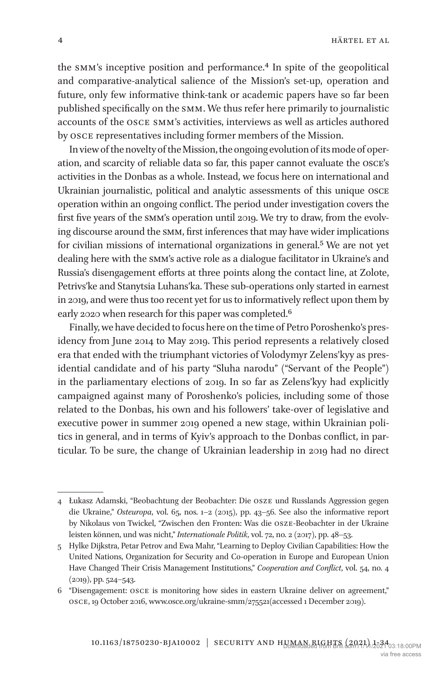the smm's inceptive position and performance.[4](#page-3-0) In spite of the geopolitical and comparative-analytical salience of the Mission's set-up, operation and future, only few informative think-tank or academic papers have so far been published specifically on the smm. We thus refer here primarily to journalistic accounts of the osce smm's activities, interviews as well as articles authored by osce representatives including former members of the Mission.

In view of the novelty of the Mission, the ongoing evolution of its mode of operation, and scarcity of reliable data so far, this paper cannot evaluate the osce's activities in the Donbas as a whole. Instead, we focus here on international and Ukrainian journalistic, political and analytic assessments of this unique osce operation within an ongoing conflict. The period under investigation covers the first five years of the smm's operation until 2019. We try to draw, from the evolving discourse around the smm, first inferences that may have wider implications for civilian missions of international organizations in general.<sup>5</sup> We are not yet dealing here with the smm's active role as a dialogue facilitator in Ukraine's and Russia's disengagement efforts at three points along the contact line, at Zolote, Petrivs'ke and Stanytsia Luhans'ka. These sub-operations only started in earnest in 2019, and were thus too recent yet for us to informatively reflect upon them by early 2020 when research for this paper was completed.<sup>6</sup>

Finally, we have decided to focus here on the time of Petro Poroshenko's presidency from June 2014 to May 2019. This period represents a relatively closed era that ended with the triumphant victories of Volodymyr Zelens'kyy as presidential candidate and of his party "Sluha narodu" ("Servant of the People") in the parliamentary elections of 2019. In so far as Zelens'kyy had explicitly campaigned against many of Poroshenko's policies, including some of those related to the Donbas, his own and his followers' take-over of legislative and executive power in summer 2019 opened a new stage, within Ukrainian politics in general, and in terms of Kyiv's approach to the Donbas conflict, in particular. To be sure, the change of Ukrainian leadership in 2019 had no direct

<span id="page-3-0"></span><sup>4</sup> Łukasz Adamski, "Beobachtung der Beobachter: Die osze und Russlands Aggression gegen die Ukraine," *Osteuropa*, vol. 65, nos. 1–2 (2015), pp. 43–56. See also the informative report by Nikolaus von Twickel, "Zwischen den Fronten: Was die osze-Beobachter in der Ukraine leisten können, und was nicht," *Internationale Politik*, vol. 72, no. 2 (2017), pp. 48–53.

<span id="page-3-1"></span><sup>5</sup> Hylke Dijkstra, Petar Petrov and Ewa Mahr, "Learning to Deploy Civilian Capabilities: How the United Nations, Organization for Security and Co-operation in Europe and European Union Have Changed Their Crisis Management Institutions," *Cooperation and Conflict*, vol. 54, no. 4 (2019), pp. 524–543.

<span id="page-3-2"></span><sup>6</sup> "Disengagement: osce is monitoring how sides in eastern Ukraine deliver on agreement," OSCE, 19 October 2016, [www.osce.org/ukraine-smm/275521\(](http://www.osce.org/ukraine-smm/275521)accessed 1 December 2019).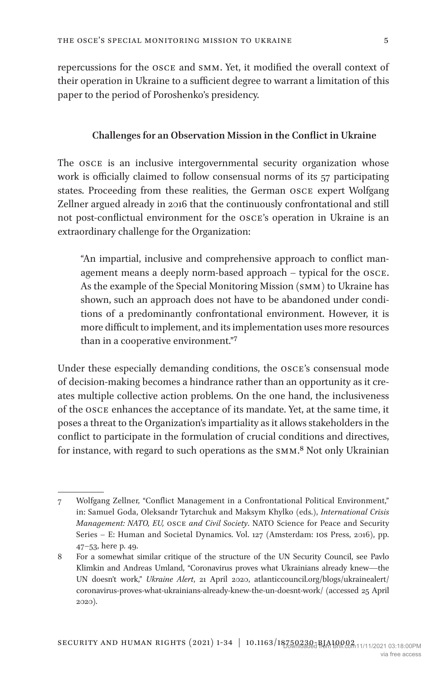repercussions for the osce and smm. Yet, it modified the overall context of their operation in Ukraine to a sufficient degree to warrant a limitation of this paper to the period of Poroshenko's presidency.

#### **Challenges for an Observation Mission in the Conflict in Ukraine**

The osce is an inclusive intergovernmental security organization whose work is officially claimed to follow consensual norms of its 57 participating states. Proceeding from these realities, the German osce expert Wolfgang Zellner argued already in 2016 that the continuously confrontational and still not post-conflictual environment for the osce's operation in Ukraine is an extraordinary challenge for the Organization:

"An impartial, inclusive and comprehensive approach to conflict management means a deeply norm-based approach – typical for the osce. As the example of the Special Monitoring Mission (smm) to Ukraine has shown, such an approach does not have to be abandoned under conditions of a predominantly confrontational environment. However, it is more difficult to implement, and its implementation uses more resources than in a cooperative environment."[7](#page-4-0)

Under these especially demanding conditions, the osce's consensual mode of decision-making becomes a hindrance rather than an opportunity as it creates multiple collective action problems. On the one hand, the inclusiveness of the osce enhances the acceptance of its mandate. Yet, at the same time, it poses a threat to the Organization's impartiality as it allows stakeholders in the conflict to participate in the formulation of crucial conditions and directives, for instance, with regard to such operations as the smm.[8](#page-4-1) Not only Ukrainian

<span id="page-4-0"></span><sup>7</sup> Wolfgang Zellner, "Conflict Management in a Confrontational Political Environment," in: Samuel Goda, Oleksandr Tytarchuk and Maksym Khylko (eds.), *International Crisis Management: NATO, EU,* OSCE *and Civil Society*. NATO Science for Peace and Security Series – E: Human and Societal Dynamics. Vol. 127 (Amsterdam: ios Press, 2016), pp. 47–53, here p. 49.

<span id="page-4-1"></span><sup>8</sup> For a somewhat similar critique of the structure of the UN Security Council, see Pavlo Klimkin and Andreas Umland, "Coronavirus proves what Ukrainians already knew—the UN doesn't work," *Ukraine Alert*, 21 April 2020, atlanticcouncil.org/blogs/ukrainealert/ coronavirus-proves-what-ukrainians-already-knew-the-un-doesnt-work/ (accessed 25 April 2020).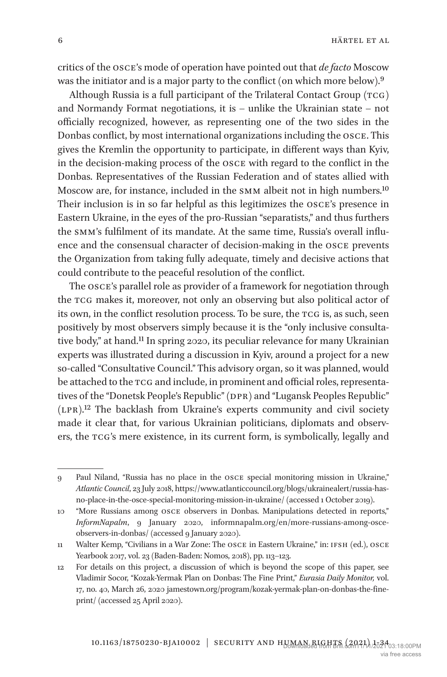critics of the osce's mode of operation have pointed out that *de facto* Moscow was the initiator and is a major party to the conflict (on which more below).[9](#page-5-0)

Although Russia is a full participant of the Trilateral Contact Group (TCG) and Normandy Format negotiations, it is – unlike the Ukrainian state – not officially recognized, however, as representing one of the two sides in the Donbas conflict, by most international organizations including the osce. This gives the Kremlin the opportunity to participate, in different ways than Kyiv, in the decision-making process of the osce with regard to the conflict in the Donbas. Representatives of the Russian Federation and of states allied with Moscow are, for instance, included in the smm albeit not in high numbers.[10](#page-5-1) Their inclusion is in so far helpful as this legitimizes the osce's presence in Eastern Ukraine, in the eyes of the pro-Russian "separatists," and thus furthers the smm's fulfilment of its mandate. At the same time, Russia's overall influence and the consensual character of decision-making in the osce prevents the Organization from taking fully adequate, timely and decisive actions that could contribute to the peaceful resolution of the conflict.

The osce's parallel role as provider of a framework for negotiation through the tcg makes it, moreover, not only an observing but also political actor of its own, in the conflict resolution process. To be sure, the TCG is, as such, seen positively by most observers simply because it is the "only inclusive consultative body," at hand.<sup>11</sup> In spring 2020, its peculiar relevance for many Ukrainian experts was illustrated during a discussion in Kyiv, around a project for a new so-called "Consultative Council." This advisory organ, so it was planned, would be attached to the TCG and include, in prominent and official roles, representatives of the "Donetsk People's Republic" (DPR) and "Lugansk Peoples Republic" (lpr).[12](#page-5-3) The backlash from Ukraine's experts community and civil society made it clear that, for various Ukrainian politicians, diplomats and observers, the tcg's mere existence, in its current form, is symbolically, legally and

<span id="page-5-0"></span><sup>9</sup> Paul Niland, "Russia has no place in the osce special monitoring mission in Ukraine," *Atlantic Council*, 23 July 2018, [https://www.atlanticcouncil.org/blogs/ukrainealert/russia-has](https://www.atlanticcouncil.org/blogs/ukrainealert/russia-has-no-place-in-the-osce-special-monitoring-mission-in-ukraine/)[no-place-in-the-osce-special-monitoring-mission-in-ukraine/](https://www.atlanticcouncil.org/blogs/ukrainealert/russia-has-no-place-in-the-osce-special-monitoring-mission-in-ukraine/) (accessed 1 October 2019).

<span id="page-5-1"></span><sup>10</sup> "More Russians among osce observers in Donbas. Manipulations detected in reports," *InformNapalm*, 9 January 2020, informnapalm.org/en/more-russians-among-osceobservers-in-donbas/ (accessed 9 January 2020).

<span id="page-5-2"></span><sup>11</sup> Walter Kemp, "Civilians in a War Zone: The osce in Eastern Ukraine," in: ifsh (ed.), OSCE Yearbook 2017, vol. 23 (Baden-Baden: Nomos, 2018), pp. 113–123.

<span id="page-5-3"></span><sup>12</sup> For details on this project, a discussion of which is beyond the scope of this paper, see Vladimir Socor, "Kozak-Yermak Plan on Donbas: The Fine Print," *Eurasia Daily Monitor,* vol. 17, no. 40, March 26, 2020 jamestown.org/program/kozak-yermak-plan-on-donbas-the-fineprint/ (accessed 25 April 2020).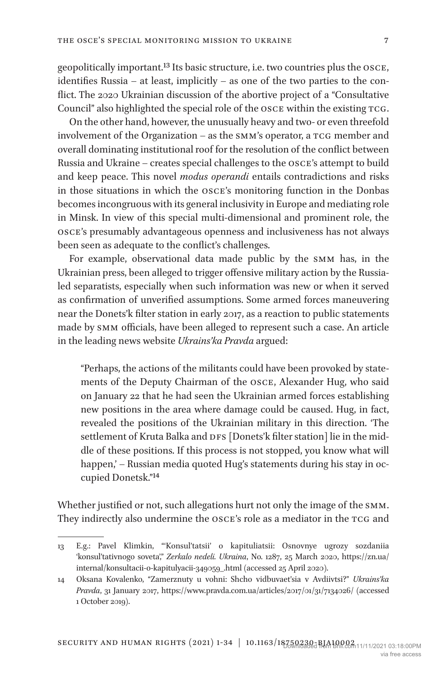geopolitically important.[13](#page-6-0) Its basic structure, i.e. two countries plus the osce, identifies Russia – at least, implicitly – as one of the two parties to the conflict. The 2020 Ukrainian discussion of the abortive project of a "Consultative Council" also highlighted the special role of the OSCE within the existing TCG.

On the other hand, however, the unusually heavy and two- or even threefold involvement of the Organization - as the SMM's operator, a TCG member and overall dominating institutional roof for the resolution of the conflict between Russia and Ukraine – creates special challenges to the osce's attempt to build and keep peace. This novel *modus operandi* entails contradictions and risks in those situations in which the osce's monitoring function in the Donbas becomes incongruous with its general inclusivity in Europe and mediating role in Minsk. In view of this special multi-dimensional and prominent role, the osce's presumably advantageous openness and inclusiveness has not always been seen as adequate to the conflict's challenges.

For example, observational data made public by the smm has, in the Ukrainian press, been alleged to trigger offensive military action by the Russialed separatists, especially when such information was new or when it served as confirmation of unverified assumptions. Some armed forces maneuvering near the Donets'k filter station in early 2017, as a reaction to public statements made by smm officials, have been alleged to represent such a case. An article in the leading news website *Ukrains'ka Pravda* argued:

"Perhaps, the actions of the militants could have been provoked by statements of the Deputy Chairman of the osce, Alexander Hug, who said on January 22 that he had seen the Ukrainian armed forces establishing new positions in the area where damage could be caused. Hug, in fact, revealed the positions of the Ukrainian military in this direction. 'The settlement of Kruta Balka and DFS [Donets'k filter station] lie in the middle of these positions. If this process is not stopped, you know what will happen,' – Russian media quoted Hug's statements during his stay in occupied Donetsk.["14](#page-6-1)

Whether justified or not, such allegations hurt not only the image of the SMM. They indirectly also undermine the OSCE's role as a mediator in the TCG and

<span id="page-6-0"></span><sup>13</sup> E.g.: Pavel Klimkin, "'Konsul'tatsii' o kapituliatsii: Osnovnye ugrozy sozdaniia 'konsul'tativnogo soveta'," *Zerkalo nedeli. Ukraina*, No. 1287, 25 March 2020, [https://zn.ua/](https://zn.ua/internal/konsultacii-o-kapitulyacii-349059_.html) [internal/konsultacii-o-kapitulyacii-349059\\_.html](https://zn.ua/internal/konsultacii-o-kapitulyacii-349059_.html) (accessed 25 April 2020).

<span id="page-6-1"></span><sup>14</sup> Oksana Kovalenko, "Zamerznuty u vohni: Shcho vidbuvaet'sia v Avdiivtsi?" *Ukrains'ka Pravda*, 31 January 2017, <https://www.pravda.com.ua/articles/2017/01/31/7134026/>(accessed 1 October 2019).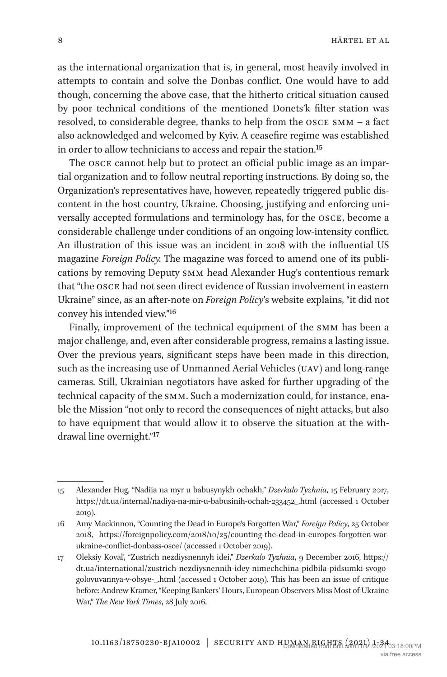as the international organization that is, in general, most heavily involved in attempts to contain and solve the Donbas conflict. One would have to add though, concerning the above case, that the hitherto critical situation caused by poor technical conditions of the mentioned Donets'k filter station was resolved, to considerable degree, thanks to help from the osce smm – a fact also acknowledged and welcomed by Kyiv. A ceasefire regime was established in order to allow technicians to access and repair the station.[15](#page-7-0)

The osce cannot help but to protect an official public image as an impartial organization and to follow neutral reporting instructions. By doing so, the Organization's representatives have, however, repeatedly triggered public discontent in the host country, Ukraine. Choosing, justifying and enforcing universally accepted formulations and terminology has, for the osce, become a considerable challenge under conditions of an ongoing low-intensity conflict. An illustration of this issue was an incident in 2018 with the influential US magazine *Foreign Policy.* The magazine was forced to amend one of its publications by removing Deputy smm head Alexander Hug's contentious remark that "the osce had not seen direct evidence of Russian involvement in eastern Ukraine" since, as an after-note on *Foreign Policy*'s website explains, "it did not convey his intended view."[16](#page-7-1)

Finally, improvement of the technical equipment of the smm has been a major challenge, and, even after considerable progress, remains a lasting issue. Over the previous years, significant steps have been made in this direction, such as the increasing use of Unmanned Aerial Vehicles (uav) and long-range cameras. Still, Ukrainian negotiators have asked for further upgrading of the technical capacity of the smm. Such a modernization could, for instance, enable the Mission "not only to record the consequences of night attacks, but also to have equipment that would allow it to observe the situation at the withdrawal line overnight."[17](#page-7-2)

<span id="page-7-0"></span><sup>15</sup> Alexander Hug, "Nadiia na myr u babusynykh ochakh," *Dzerkalo Tyzhnia*, 15 February 2017, [https://dt.ua/internal/nadiya-na-mir-u-babusinih-ochah-233452\\_.html](https://dt.ua/internal/nadiya-na-mir-u-babusinih-ochah-233452_.html) (accessed 1 October 2019).

<span id="page-7-1"></span><sup>16</sup> Amy Mackinnon, "Counting the Dead in Europe's Forgotten War," *Foreign Policy*, 25 October 2018, [https://foreignpolicy.com/2018/10/25/counting-the-dead-in-europes-forgotten-war](https://foreignpolicy.com/2018/10/25/counting-the-dead-in-europes-forgotten-war-ukraine-conflict-donbass-osce/)[ukraine-conflict-donbass-osce/](https://foreignpolicy.com/2018/10/25/counting-the-dead-in-europes-forgotten-war-ukraine-conflict-donbass-osce/) (accessed 1 October 2019).

<span id="page-7-2"></span><sup>17</sup> Oleksiy Koval', "Zustrich nezdiysnennyh idei," *Dzerkalo Tyzhnia*, 9 December 2016, [https://](https://dt.ua/international/zustrich-nezdiysnennih-idey-nimechchina-pidbila-pidsumki-svogo-golovuvannya-v-obsye-_.html) [dt.ua/international/zustrich-nezdiysnennih-idey-nimechchina-pidbila-pidsumki-svogo](https://dt.ua/international/zustrich-nezdiysnennih-idey-nimechchina-pidbila-pidsumki-svogo-golovuvannya-v-obsye-_.html)[golovuvannya-v-obsye-\\_.html](https://dt.ua/international/zustrich-nezdiysnennih-idey-nimechchina-pidbila-pidsumki-svogo-golovuvannya-v-obsye-_.html) (accessed 1 October 2019). This has been an issue of critique before: Andrew Kramer, "Keeping Bankers' Hours, European Observers Miss Most of Ukraine War," *The New York Times*, 28 July 2016.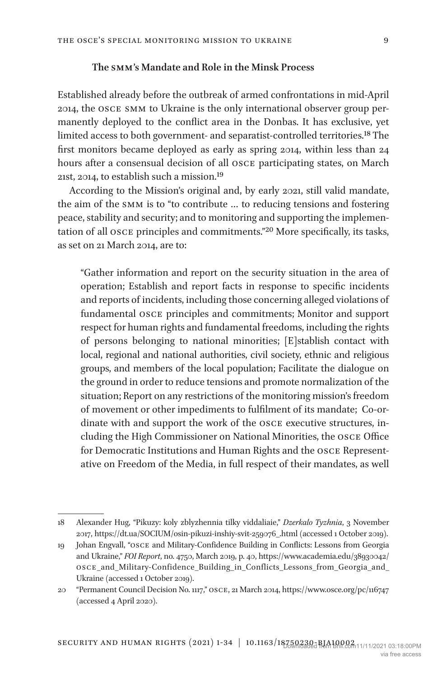## **The smm's Mandate and Role in the Minsk Process**

Established already before the outbreak of armed confrontations in mid-April 2014, the osce smm to Ukraine is the only international observer group permanently deployed to the conflict area in the Donbas. It has exclusive, yet limited access to both government- and separatist-controlled territories.[18](#page-8-0) The first monitors became deployed as early as spring 2014, within less than 24 hours after a consensual decision of all osce participating states, on March 21st, 2014, to establish such a mission[.19](#page-8-1)

According to the Mission's original and, by early 2021, still valid mandate, the aim of the smm is to "to contribute … to reducing tensions and fostering peace, stability and security; and to monitoring and supporting the implementation of all osce principles and commitments."[20](#page-8-2) More specifically, its tasks, as set on 21 March 2014, are to:

"Gather information and report on the security situation in the area of operation; Establish and report facts in response to specific incidents and reports of incidents, including those concerning alleged violations of fundamental osce principles and commitments; Monitor and support respect for human rights and fundamental freedoms, including the rights of persons belonging to national minorities; [E]stablish contact with local, regional and national authorities, civil society, ethnic and religious groups, and members of the local population; Facilitate the dialogue on the ground in order to reduce tensions and promote normalization of the situation; Report on any restrictions of the monitoring mission's freedom of movement or other impediments to fulfilment of its mandate; Co-ordinate with and support the work of the osce executive structures, including the High Commissioner on National Minorities, the osce Office for Democratic Institutions and Human Rights and the osce Representative on Freedom of the Media, in full respect of their mandates, as well

<span id="page-8-0"></span><sup>18</sup> Alexander Hug, "Pikuzy: koly zblyzhennia tilky viddaliaie," *Dzerkalo Tyzhnia*, 3 November 2017, [https://dt.ua/SOCIUM/osin-pikuzi-inshiy-svit-259076\\_.html](https://dt.ua/SOCIUM/osin-pikuzi-inshiy-svit-259076_.html) (accessed 1 October 2019).

<span id="page-8-1"></span><sup>19</sup> Johan Engvall, "osce and Military-Confidence Building in Conflicts: Lessons from Georgia and Ukraine," *FOI Report*, no. 4750, March 2019, p. 40, [https://www.academia.edu/38930042/](https://www.academia.edu/38930042/OSCE_and_Military-Confidence_Building_in_Conflicts_Lessons_from_Georgia_and_Ukraine) [OSCE\\_and\\_Military-Confidence\\_Building\\_in\\_Conflicts\\_Lessons\\_from\\_Georgia\\_and\\_](https://www.academia.edu/38930042/OSCE_and_Military-Confidence_Building_in_Conflicts_Lessons_from_Georgia_and_Ukraine) [Ukraine](https://www.academia.edu/38930042/OSCE_and_Military-Confidence_Building_in_Conflicts_Lessons_from_Georgia_and_Ukraine) (accessed 1 October 2019).

<span id="page-8-2"></span><sup>20</sup> "Permanent Council Decision No. 1117," OSCE, 21 March 2014,<https://www.osce.org/pc/116747> (accessed 4 April 2020).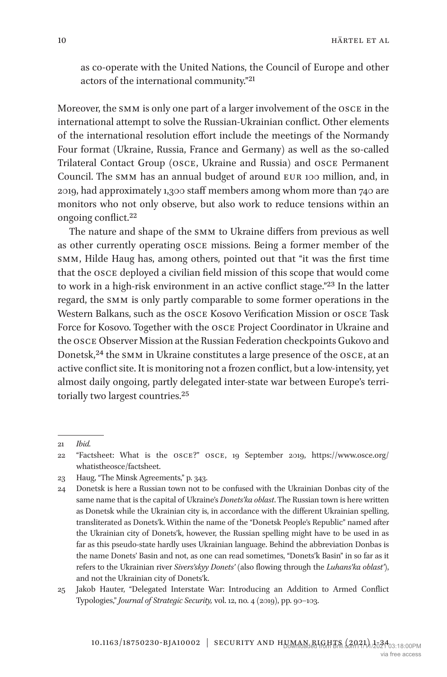as co-operate with the United Nations, the Council of Europe and other actors of the international community[."21](#page-9-0)

Moreover, the smm is only one part of a larger involvement of the osce in the international attempt to solve the Russian-Ukrainian conflict. Other elements of the international resolution effort include the meetings of the Normandy Four format (Ukraine, Russia, France and Germany) as well as the so-called Trilateral Contact Group (osce, Ukraine and Russia) and osce Permanent Council. The smm has an annual budget of around eur 100 million, and, in 2019, had approximately 1,300 staff members among whom more than 740 are monitors who not only observe, but also work to reduce tensions within an ongoing conflict[.22](#page-9-1)

The nature and shape of the smm to Ukraine differs from previous as well as other currently operating osce missions. Being a former member of the smm, Hilde Haug has, among others, pointed out that "it was the first time that the osce deployed a civilian field mission of this scope that would come to work in a high-risk environment in an active conflict stage."[23](#page-9-2) In the latter regard, the smm is only partly comparable to some former operations in the Western Balkans, such as the osce Kosovo Verification Mission or osce Task Force for Kosovo. Together with the osce Project Coordinator in Ukraine and the osce Observer Mission at the Russian Federation checkpoints Gukovo and Donetsk[,24](#page-9-3) the smm in Ukraine constitutes a large presence of the osce, at an active conflict site. It is monitoring not a frozen conflict, but a low-intensity, yet almost daily ongoing, partly delegated inter-state war between Europe's territorially two largest countries[.25](#page-9-4)

<span id="page-9-0"></span><sup>21</sup> *Ibid.*

<span id="page-9-1"></span><sup>22</sup> "Factsheet: What is the osce?" OSCE, 19 September 2019, [https://www.osce.org/](https://www.osce.org/whatistheosce/factsheet) [whatistheosce/factsheet](https://www.osce.org/whatistheosce/factsheet).

<span id="page-9-2"></span><sup>23</sup> Haug, "The Minsk Agreements," p. 343.

<span id="page-9-3"></span><sup>24</sup> Donetsk is here a Russian town not to be confused with the Ukrainian Donbas city of the same name that is the capital of Ukraine's *Donets'ka oblast*. The Russian town is here written as Donetsk while the Ukrainian city is, in accordance with the different Ukrainian spelling, transliterated as Donets'k. Within the name of the "Donetsk People's Republic" named after the Ukrainian city of Donets'k, however, the Russian spelling might have to be used in as far as this pseudo-state hardly uses Ukrainian language. Behind the abbreviation Donbas is the name Donets' Basin and not, as one can read sometimes, "Donets'k Basin" in so far as it refers to the Ukrainian river *Sivers'skyy Donets'* (also flowing through the *Luhans'ka oblast'*), and not the Ukrainian city of Donets'k.

<span id="page-9-4"></span><sup>25</sup> Jakob Hauter, "Delegated Interstate War: Introducing an Addition to Armed Conflict Typologies," *Journal of Strategic Security,* vol. 12, no. 4 (2019), pp. 90–103.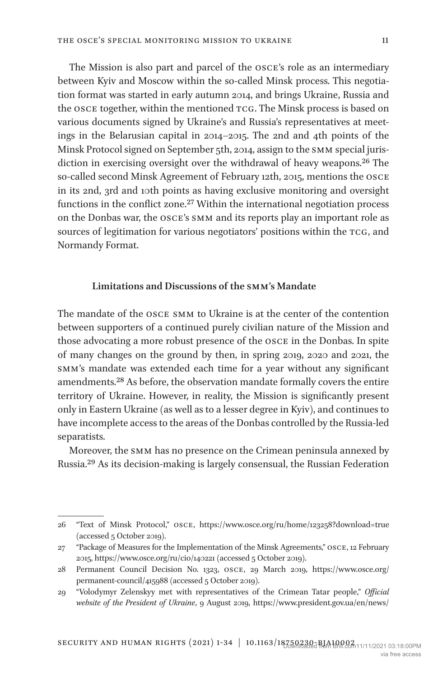The Mission is also part and parcel of the osce's role as an intermediary between Kyiv and Moscow within the so-called Minsk process. This negotiation format was started in early autumn 2014, and brings Ukraine, Russia and the osce together, within the mentioned tcg. The Minsk process is based on various documents signed by Ukraine's and Russia's representatives at meetings in the Belarusian capital in 2014–2015. The 2nd and 4th points of the Minsk Protocol signed on September 5th, 2014, assign to the smm special jurisdiction in exercising oversight over the withdrawal of heavy weapons.<sup>26</sup> The so-called second Minsk Agreement of February 12th, 2015, mentions the osce in its 2nd, 3rd and 10th points as having exclusive monitoring and oversight functions in the conflict zone.<sup>[27](#page-10-1)</sup> Within the international negotiation process on the Donbas war, the osce's smm and its reports play an important role as sources of legitimation for various negotiators' positions within the TCG, and Normandy Format.

### **Limitations and Discussions of the smm's Mandate**

The mandate of the osce smm to Ukraine is at the center of the contention between supporters of a continued purely civilian nature of the Mission and those advocating a more robust presence of the osce in the Donbas. In spite of many changes on the ground by then, in spring 2019, 2020 and 2021, the smm's mandate was extended each time for a year without any significant amendments[.28](#page-10-2) As before, the observation mandate formally covers the entire territory of Ukraine. However, in reality, the Mission is significantly present only in Eastern Ukraine (as well as to a lesser degree in Kyiv), and continues to have incomplete access to the areas of the Donbas controlled by the Russia-led separatists.

Moreover, the smm has no presence on the Crimean peninsula annexed by Russia.[29](#page-10-3) As its decision-making is largely consensual, the Russian Federation

<span id="page-10-0"></span><sup>26</sup> "Text of Minsk Protocol," OSCE, <https://www.osce.org/ru/home/123258?download=true> (accessed 5 October 2019).

<span id="page-10-1"></span><sup>27</sup> "Package of Measures for the Implementation of the Minsk Agreements," OSCE, 12 February 2015, <https://www.osce.org/ru/cio/140221> (accessed 5 October 2019).

<span id="page-10-2"></span><sup>28</sup> Permanent Council Decision No. 1323, OSCE, 29 March 2019, [https://www.osce.org/](https://www.osce.org/permanent-council/415988) [permanent-council/415988](https://www.osce.org/permanent-council/415988) (accessed 5 October 2019).

<span id="page-10-3"></span><sup>29</sup> "Volodymyr Zelenskyy met with representatives of the Crimean Tatar people," *Official website of the President of Ukraine*, 9 August 2019, [https://www.president.gov.ua/en/news/](https://www.president.gov.ua/en/news/volodimir-zelenskij-zustrivsya-z-predstavnikami-krimskotatar-56793)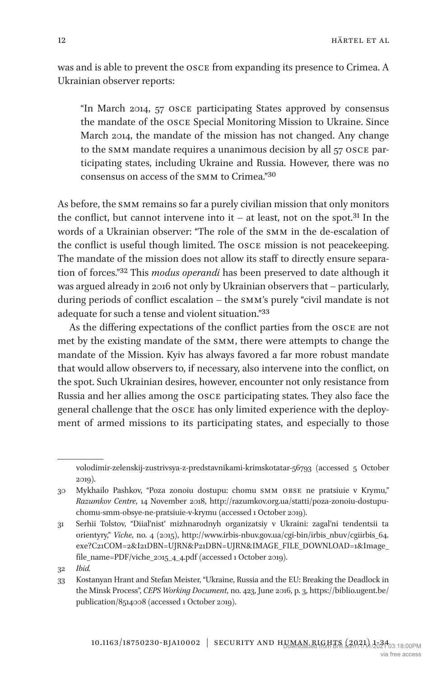was and is able to prevent the osce from expanding its presence to Crimea. A Ukrainian observer reports:

"In March 2014, 57 osce participating States approved by consensus the mandate of the osce Special Monitoring Mission to Ukraine. Since March 2014, the mandate of the mission has not changed. Any change to the smm mandate requires a unanimous decision by all 57 osce participating states, including Ukraine and Russia. However, there was no consensus on access of the smm to Crimea.["30](#page-11-0)

As before, the smm remains so far a purely civilian mission that only monitors the conflict, but cannot intervene into it – at least, not on the spot.<sup>31</sup> In the words of a Ukrainian observer: "The role of the smm in the de-escalation of the conflict is useful though limited. The osce mission is not peacekeeping. The mandate of the mission does not allow its staff to directly ensure separation of forces.["32](#page-11-2) This *modus operandi* has been preserved to date although it was argued already in 2016 not only by Ukrainian observers that – particularly, during periods of conflict escalation – the smm's purely "civil mandate is not adequate for such a tense and violent situation.["33](#page-11-3)

As the differing expectations of the conflict parties from the osce are not met by the existing mandate of the smm, there were attempts to change the mandate of the Mission. Kyiv has always favored a far more robust mandate that would allow observers to, if necessary, also intervene into the conflict, on the spot. Such Ukrainian desires, however, encounter not only resistance from Russia and her allies among the osce participating states. They also face the general challenge that the osce has only limited experience with the deployment of armed missions to its participating states, and especially to those

[volodimir-zelenskij-zustrivsya-z-predstavnikami-krimskotatar-56793](https://www.president.gov.ua/en/news/volodimir-zelenskij-zustrivsya-z-predstavnikami-krimskotatar-56793) (accessed 5 October 2019).

<span id="page-11-0"></span><sup>30</sup> Mykhailo Pashkov, "Poza zonoiu dostupu: chomu smm obse ne pratsiuie v Krymu," *Razumkov Centre*, 14 November 2018, [http://razumkov.org.ua/statti/poza-zonoiu-dostupu](http://razumkov.org.ua/statti/poza-zonoiu-dostupu-chomu-smm-obsye-ne-pratsiuie-v-krymu)[chomu-smm-obsye-ne-pratsiuie-v-krymu](http://razumkov.org.ua/statti/poza-zonoiu-dostupu-chomu-smm-obsye-ne-pratsiuie-v-krymu) (accessed 1 October 2019).

<span id="page-11-1"></span><sup>31</sup> Serhii Tolstov, "Diial'nist' mizhnarodnyh organizatsiy v Ukraini: zagal'ni tendentsii ta orientyry," *Viche*, no. 4 (2015), [http://www.irbis-nbuv.gov.ua/cgi-bin/irbis\\_nbuv/cgiirbis\\_64.](http://www.irbis-nbuv.gov.ua/cgi-bin/irbis_nbuv/cgiirbis_64.exe?C21COM=2&I21DBN=UJRN&P21DBN=UJRN&IMAGE_FILE_DOWNLOAD=1&Image_file_name=PDF/viche_2015_4_4.pdf) [exe?C21COM=2&I21DBN=UJRN&P21DBN=UJRN&IMAGE\\_FILE\\_DOWNLOAD=1&Image\\_](http://www.irbis-nbuv.gov.ua/cgi-bin/irbis_nbuv/cgiirbis_64.exe?C21COM=2&I21DBN=UJRN&P21DBN=UJRN&IMAGE_FILE_DOWNLOAD=1&Image_file_name=PDF/viche_2015_4_4.pdf) [file\\_name=PDF/viche\\_2015\\_4\\_4.pdf](http://www.irbis-nbuv.gov.ua/cgi-bin/irbis_nbuv/cgiirbis_64.exe?C21COM=2&I21DBN=UJRN&P21DBN=UJRN&IMAGE_FILE_DOWNLOAD=1&Image_file_name=PDF/viche_2015_4_4.pdf) (accessed 1 October 2019).

<span id="page-11-2"></span><sup>32</sup> *Ibid.*

<span id="page-11-3"></span><sup>33</sup> Kostanyan Hrant and Stefan Meister, "Ukraine, Russia and the EU: Breaking the Deadlock in the Minsk Process", *CEPS Working Document*, no. 423, June 2016, p. 3, [https://biblio.ugent.be/](https://biblio.ugent.be/publication/8514008) [publication/8514008](https://biblio.ugent.be/publication/8514008) (accessed 1 October 2019).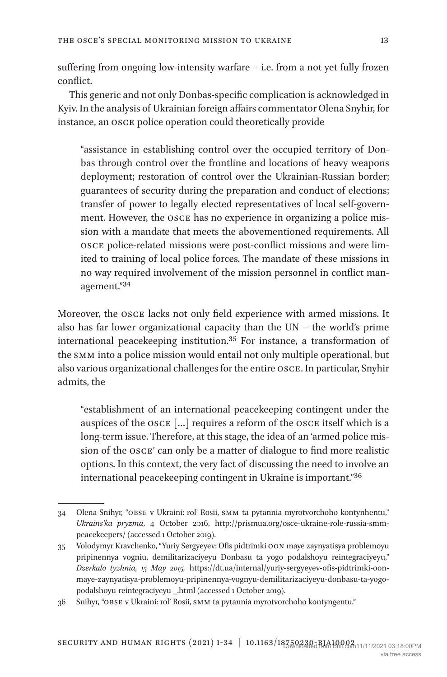suffering from ongoing low-intensity warfare – i.e. from a not yet fully frozen conflict.

This generic and not only Donbas-specific complication is acknowledged in Kyiv. In the analysis of Ukrainian foreign affairs commentator Olena Snyhir, for instance, an osce police operation could theoretically provide

"assistance in establishing control over the occupied territory of Donbas through control over the frontline and locations of heavy weapons deployment; restoration of control over the Ukrainian-Russian border; guarantees of security during the preparation and conduct of elections; transfer of power to legally elected representatives of local self-government. However, the osce has no experience in organizing a police mission with a mandate that meets the abovementioned requirements. All osce police-related missions were post-conflict missions and were limited to training of local police forces. The mandate of these missions in no way required involvement of the mission personnel in conflict management."[34](#page-12-0)

Moreover, the osce lacks not only field experience with armed missions. It also has far lower organizational capacity than the UN – the world's prime international peacekeeping institution.[35](#page-12-1) For instance, a transformation of the smm into a police mission would entail not only multiple operational, but also various organizational challenges for the entire osce. In particular, Snyhir admits, the

"establishment of an international peacekeeping contingent under the auspices of the osce […] requires a reform of the osce itself which is a long-term issue. Therefore, at this stage, the idea of an 'armed police mission of the osce' can only be a matter of dialogue to find more realistic options. In this context, the very fact of discussing the need to involve an international peacekeeping contingent in Ukraine is important.["36](#page-12-2)

<span id="page-12-0"></span><sup>34</sup> Olena Snihyr, "obse v Ukraini: rol' Rosii, smm ta pytannia myrotvorchoho kontynhentu," *Ukrains'ka pryzma*, 4 October 2016, [http://prismua.org/osce-ukraine-role-russia-smm](http://prismua.org/osce-ukraine-role-russia-smm-peacekeepers/)[peacekeepers/](http://prismua.org/osce-ukraine-role-russia-smm-peacekeepers/) (accessed 1 October 2019).

<span id="page-12-1"></span><sup>35</sup> Volodymyr Kravchenko, "Yuriy Sergyeyev: Ofis pidtrimki oon maye zaynyatisya problemoyu pripinennya vogniu, demilitarizaciyeyu Donbasu ta yogo podalshoyu reintegraciyeyu," *Dzerkalo tyzhnia, 15 May 2015,* [https://dt.ua/internal/yuriy-sergyeyev-ofis-pidtrimki-oon](https://dt.ua/internal/yuriy-sergyeyev-ofis-pidtrimki-oon-maye-zaynyatisya-problemoyu-pripinennya-vognyu-demilitarizaciyeyu-donbasu-ta-yogo-podalshoyu-reintegraciyeyu-_.html)[maye-zaynyatisya-problemoyu-pripinennya-vognyu-demilitarizaciyeyu-donbasu-ta-yogo](https://dt.ua/internal/yuriy-sergyeyev-ofis-pidtrimki-oon-maye-zaynyatisya-problemoyu-pripinennya-vognyu-demilitarizaciyeyu-donbasu-ta-yogo-podalshoyu-reintegraciyeyu-_.html)[podalshoyu-reintegraciyeyu-\\_.html](https://dt.ua/internal/yuriy-sergyeyev-ofis-pidtrimki-oon-maye-zaynyatisya-problemoyu-pripinennya-vognyu-demilitarizaciyeyu-donbasu-ta-yogo-podalshoyu-reintegraciyeyu-_.html) (accessed 1 October 2019).

<span id="page-12-2"></span><sup>36</sup> Snihyr, "obse v Ukraini: rol' Rosii, smm ta pytannia myrotvorchoho kontyngentu."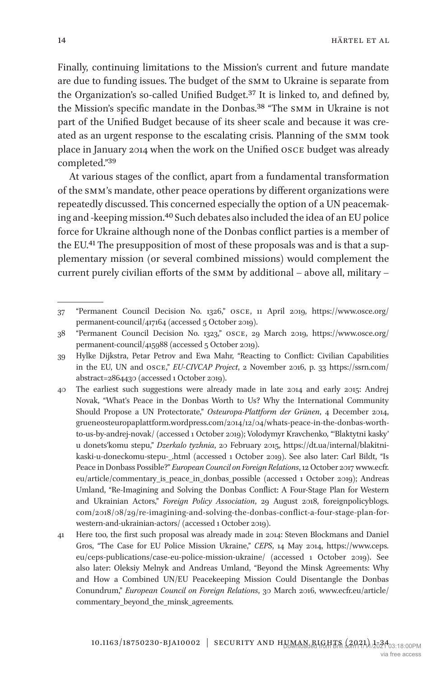Finally, continuing limitations to the Mission's current and future mandate are due to funding issues. The budget of the smm to Ukraine is separate from the Organization's so-called Unified Budget[.37](#page-13-0) It is linked to, and defined by, the Mission's specific mandate in the Donbas.[38](#page-13-1) "The smm in Ukraine is not part of the Unified Budget because of its sheer scale and because it was created as an urgent response to the escalating crisis. Planning of the smm took place in January 2014 when the work on the Unified osce budget was already completed.["39](#page-13-2)

At various stages of the conflict, apart from a fundamental transformation of the smm's mandate, other peace operations by different organizations were repeatedly discussed. This concerned especially the option of a UN peacemaking and -keeping mission[.40](#page-13-3) Such debates also included the idea of an EU police force for Ukraine although none of the Donbas conflict parties is a member of the EU[.41](#page-13-4) The presupposition of most of these proposals was and is that a supplementary mission (or several combined missions) would complement the current purely civilian efforts of the smm by additional – above all, military –

<span id="page-13-0"></span><sup>37</sup> "Permanent Council Decision No. 1326," OSCE, 11 April 2019, [https://www.osce.org/](https://www.osce.org/permanent-council/417164) [permanent-council/417164](https://www.osce.org/permanent-council/417164) (accessed 5 October 2019).

<span id="page-13-1"></span><sup>38</sup> "Permanent Council Decision No. 1323," OSCE, 29 March 2019, [https://www.osce.org/](https://www.osce.org/permanent-council/415988) [permanent-council/415988](https://www.osce.org/permanent-council/415988) (accessed 5 October 2019).

<span id="page-13-2"></span><sup>39</sup> Hylke Dijkstra, Petar Petrov and Ewa Mahr, "Reacting to Conflict: Civilian Capabilities in the EU, UN and osce," *EU-CIVCAP Project*, 2 November 2016, p. 33 [https://ssrn.com/](https://ssrn.com/abstract=2864430) [abstract=2864430](https://ssrn.com/abstract=2864430) (accessed 1 October 2019).

<span id="page-13-3"></span><sup>40</sup> The earliest such suggestions were already made in late 2014 and early 2015: Andrej Novak, "What's Peace in the Donbas Worth to Us? Why the International Community Should Propose a UN Protectorate," *Osteuropa-Plattform der Grünen*, 4 December 2014, grueneosteuropaplattform.wordpress.com/2014/12/04/whats-peace-in-the-donbas-worthto-us-by-andrej-novak/ (accessed 1 October 2019); Volodymyr Kravchenko, "'Blaktytni kasky' u donets'komu stepu," *Dzerkalo tyzhnia*, 20 February 2015, [https://dt.ua/internal/blakitni](https://dt.ua/internal/blakitni-kaski-u-doneckomu-stepu-_.html)[kaski-u-doneckomu-stepu-\\_.html](https://dt.ua/internal/blakitni-kaski-u-doneckomu-stepu-_.html) (accessed 1 October 2019). See also later: Carl Bildt, "Is Peace in Donbass Possible?" *European Council on Foreign Relations*, 12 October 2017 [www.ecfr.](http://www.ecfr.eu/article/commentary_is_peace_in_donbas_possible) [eu/article/commentary\\_is\\_peace\\_in\\_donbas\\_possible](http://www.ecfr.eu/article/commentary_is_peace_in_donbas_possible) (accessed 1 October 2019); Andreas Umland, "Re-Imagining and Solving the Donbas Conflict: A Four-Stage Plan for Western and Ukrainian Actors," *Foreign Policy Association*, 29 August 2018, foreignpolicyblogs. com/2018/08/29/re-imagining-and-solving-the-donbas-conflict-a-four-stage-plan-forwestern-and-ukrainian-actors/ (accessed 1 October 2019).

<span id="page-13-4"></span><sup>41</sup> Here too, the first such proposal was already made in 2014: Steven Blockmans and Daniel Gros, "The Case for EU Police Mission Ukraine," *CEPS*, 14 May 2014, [https://www.ceps.](https://www.ceps.eu/ceps-publications/case-eu-police-mission-ukraine/) [eu/ceps-publications/case-eu-police-mission-ukraine/](https://www.ceps.eu/ceps-publications/case-eu-police-mission-ukraine/) (accessed 1 October 2019). See also later: Oleksiy Melnyk and Andreas Umland, "Beyond the Minsk Agreements: Why and How a Combined UN/EU Peacekeeping Mission Could Disentangle the Donbas Conundrum," *European Council on Foreign Relations*, 30 March 2016, [www.ecfr.eu/article/](http://www.ecfr.eu/article/commentary_beyond_the_minsk_agreements) [commentary\\_beyond\\_the\\_minsk\\_agreements.](http://www.ecfr.eu/article/commentary_beyond_the_minsk_agreements)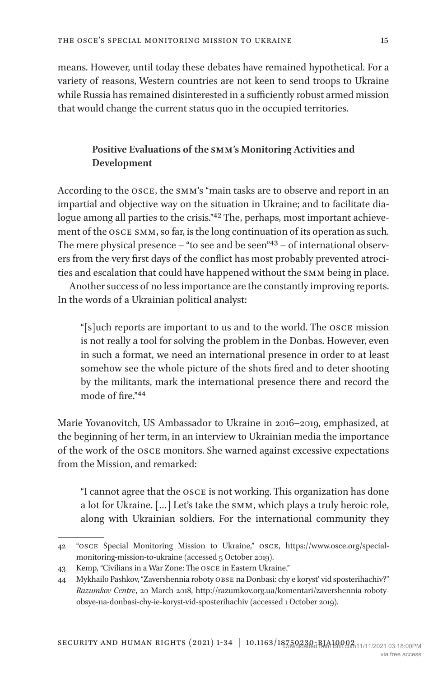means. However, until today these debates have remained hypothetical. For a variety of reasons, Western countries are not keen to send troops to Ukraine while Russia has remained disinterested in a sufficiently robust armed mission that would change the current status quo in the occupied territories.

# **Positive Evaluations of the smm's Monitoring Activities and Development**

According to the osce, the smm's "main tasks are to observe and report in an impartial and objective way on the situation in Ukraine; and to facilitate dialogue among all parties to the crisis."<sup>42</sup> The, perhaps, most important achievement of the osce smm, so far, is the long continuation of its operation as such. The mere physical presence – "to see and be seen" $43$  – of international observers from the very first days of the conflict has most probably prevented atrocities and escalation that could have happened without the smm being in place.

Another success of no less importance are the constantly improving reports. In the words of a Ukrainian political analyst:

"[s]uch reports are important to us and to the world. The osce mission is not really a tool for solving the problem in the Donbas. However, even in such a format, we need an international presence in order to at least somehow see the whole picture of the shots fired and to deter shooting by the militants, mark the international presence there and record the mode of fire.["44](#page-14-2)

Marie Yovanovitch, US Ambassador to Ukraine in 2016–2019, emphasized, at the beginning of her term, in an interview to Ukrainian media the importance of the work of the osce monitors. She warned against excessive expectations from the Mission, and remarked:

"I cannot agree that the osce is not working. This organization has done a lot for Ukraine. […] Let's take the smm, which plays a truly heroic role, along with Ukrainian soldiers. For the international community they

<span id="page-14-0"></span><sup>42</sup> "osce Special Monitoring Mission to Ukraine," OSCE, [https://www.osce.org/special](https://www.osce.org/special-monitoring-mission-to-ukraine)[monitoring-mission-to-ukraine](https://www.osce.org/special-monitoring-mission-to-ukraine) (accessed 5 October 2019).

<span id="page-14-1"></span><sup>43</sup> Kemp, "Civilians in a War Zone: The osce in Eastern Ukraine."

<span id="page-14-2"></span><sup>44</sup> Mykhailo Pashkov, "Zavershennia roboty obse na Donbasi: chy e koryst' vid sposterihachiv?" *Razumkov Centre*, 20 March 2018, [http://razumkov.org.ua/komentari/zavershennia-roboty](http://razumkov.org.ua/komentari/zavershennia-roboty-obsye-na-donbasi-chy-ie-koryst-vid-sposterihachiv)[obsye-na-donbasi-chy-ie-koryst-vid-sposterihachiv](http://razumkov.org.ua/komentari/zavershennia-roboty-obsye-na-donbasi-chy-ie-koryst-vid-sposterihachiv) (accessed 1 October 2019).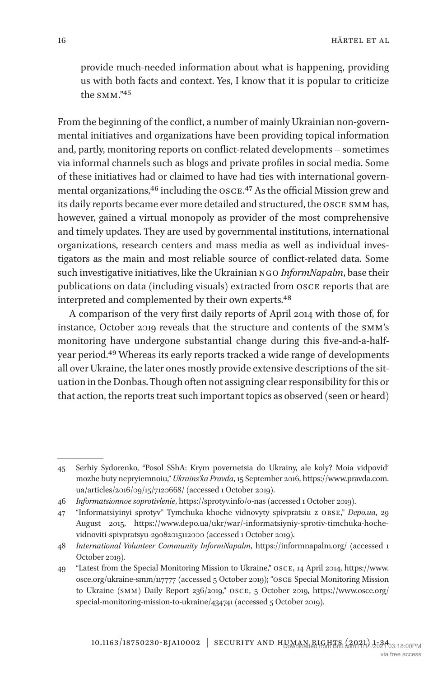provide much-needed information about what is happening, providing us with both facts and context. Yes, I know that it is popular to criticize the smm.["45](#page-15-0)

From the beginning of the conflict, a number of mainly Ukrainian non-governmental initiatives and organizations have been providing topical information and, partly, monitoring reports on conflict-related developments – sometimes via informal channels such as blogs and private profiles in social media. Some of these initiatives had or claimed to have had ties with international govern-mental organizations,<sup>46</sup> including the OSCE.<sup>[47](#page-15-2)</sup> As the official Mission grew and its daily reports became ever more detailed and structured, the osce smm has, however, gained a virtual monopoly as provider of the most comprehensive and timely updates. They are used by governmental institutions, international organizations, research centers and mass media as well as individual investigators as the main and most reliable source of conflict-related data. Some such investigative initiatives, like the Ukrainian ngo *InformNapalm*, base their publications on data (including visuals) extracted from osce reports that are interpreted and complemented by their own experts.<sup>[48](#page-15-3)</sup>

A comparison of the very first daily reports of April 2014 with those of, for instance, October 2019 reveals that the structure and contents of the smm's monitoring have undergone substantial change during this five-and-a-halfyear period.[49](#page-15-4) Whereas its early reports tracked a wide range of developments all over Ukraine, the later ones mostly provide extensive descriptions of the situation in the Donbas. Though often not assigning clear responsibility for this or that action, the reports treat such important topics as observed (seen or heard)

<span id="page-15-3"></span>48 *International Volunteer Community InformNapalm*, <https://informnapalm.org/> (accessed 1 October 2019).

<span id="page-15-0"></span><sup>45</sup> Serhiy Sydorenko, "Posol SShA: Krym povernetsia do Ukrainy, ale koly? Moia vidpovid' mozhe buty nepryiemnoiu," *Ukrains'ka Pravda*, 15 September 2016, [https://www.pravda.com.](https://www.pravda.com.ua/articles/2016/09/15/7120668/) [ua/articles/2016/09/15/7120668/](https://www.pravda.com.ua/articles/2016/09/15/7120668/) (accessed 1 October 2019).

<span id="page-15-1"></span><sup>46</sup> *Informatsionnoe soprotivlenie*, <https://sprotyv.info/o-nas> (accessed 1 October 2019).

<span id="page-15-2"></span><sup>47</sup> "Informatsiyinyi sprotyv" Tymchuka khoche vidnovyty spivpratsiu z obse," *Depo.ua*, 29 August 2015, [https://www.depo.ua/ukr/war/-informatsiyniy-sprotiv-timchuka-hoche](https://www.depo.ua/ukr/war/-informatsiyniy-sprotiv-timchuka-hoche-vidnoviti-spivpratsyu-29082015112000)[vidnoviti-spivpratsyu-29082015112000](https://www.depo.ua/ukr/war/-informatsiyniy-sprotiv-timchuka-hoche-vidnoviti-spivpratsyu-29082015112000) (accessed 1 October 2019).

<span id="page-15-4"></span><sup>49</sup> "Latest from the Special Monitoring Mission to Ukraine," OSCE, 14 April 2014, [https://www.](https://www.osce.org/ukraine-smm/117777) [osce.org/ukraine-smm/117777](https://www.osce.org/ukraine-smm/117777) (accessed 5 October 2019); "osce Special Monitoring Mission to Ukraine (smm) Daily Report 236/2019," OSCE, 5 October 2019, [https://www.osce.org/](https://www.osce.org/special-monitoring-mission-to-ukraine/434741) [special-monitoring-mission-to-ukraine/434741](https://www.osce.org/special-monitoring-mission-to-ukraine/434741) (accessed 5 October 2019).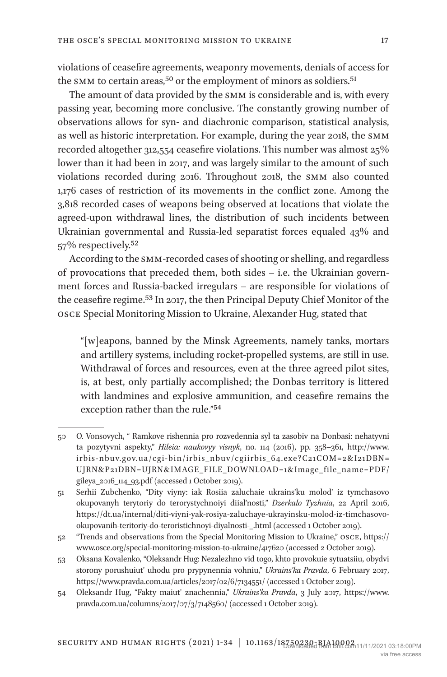violations of ceasefire agreements, weaponry movements, denials of access for the SMM to certain areas,<sup>50</sup> or the employment of minors as soldiers.<sup>51</sup>

The amount of data provided by the smm is considerable and is, with every passing year, becoming more conclusive. The constantly growing number of observations allows for syn- and diachronic comparison, statistical analysis, as well as historic interpretation. For example, during the year 2018, the smm recorded altogether 312,554 ceasefire violations. This number was almost 25% lower than it had been in 2017, and was largely similar to the amount of such violations recorded during 2016. Throughout 2018, the smm also counted 1,176 cases of restriction of its movements in the conflict zone. Among the 3,818 recorded cases of weapons being observed at locations that violate the agreed-upon withdrawal lines, the distribution of such incidents between Ukrainian governmental and Russia-led separatist forces equaled 43% and 57% respectively.[52](#page-16-2)

According to the smm-recorded cases of shooting or shelling, and regardless of provocations that preceded them, both sides – i.e. the Ukrainian government forces and Russia-backed irregulars – are responsible for violations of the ceasefire regime.[53](#page-16-3) In 2017, the then Principal Deputy Chief Monitor of the osce Special Monitoring Mission to Ukraine, Alexander Hug, stated that

"[w]eapons, banned by the Minsk Agreements, namely tanks, mortars and artillery systems, including rocket-propelled systems, are still in use. Withdrawal of forces and resources, even at the three agreed pilot sites, is, at best, only partially accomplished; the Donbas territory is littered with landmines and explosive ammunition, and ceasefire remains the exception rather than the rule.["54](#page-16-4)

<span id="page-16-0"></span><sup>50</sup> O. Vonsovych, " Ramkove rishennia pro rozvedennia syl ta zasobiv na Donbasi: nehatyvni ta pozytyvni aspekty," *Hileia: naukovyy visnyk*, no. 114 (2016), pp. 358–361, [http://www.](http://www.irbis-nbuv.gov.ua/cgi-bin/irbis_nbuv/cgiirbis_64.exe?C21COM=2&I21DBN=UJRN&P21DBN=UJRN&IMAGE_FILE_DOWNLOAD=1&Image_file_name=PDF/gileya_2016_114_93.pdf) [irbis-nbuv.gov.ua/cgi-bin/irbis\\_nbuv/cgiirbis\\_64.exe?C21COM=2&I21DBN=](http://www.irbis-nbuv.gov.ua/cgi-bin/irbis_nbuv/cgiirbis_64.exe?C21COM=2&I21DBN=UJRN&P21DBN=UJRN&IMAGE_FILE_DOWNLOAD=1&Image_file_name=PDF/gileya_2016_114_93.pdf) [UJRN&P21DBN=UJRN&IMAGE\\_FILE\\_DOWNLOAD=1&Image\\_file\\_name=PDF/](http://www.irbis-nbuv.gov.ua/cgi-bin/irbis_nbuv/cgiirbis_64.exe?C21COM=2&I21DBN=UJRN&P21DBN=UJRN&IMAGE_FILE_DOWNLOAD=1&Image_file_name=PDF/gileya_2016_114_93.pdf) [gileya\\_2016\\_114\\_93.pdf](http://www.irbis-nbuv.gov.ua/cgi-bin/irbis_nbuv/cgiirbis_64.exe?C21COM=2&I21DBN=UJRN&P21DBN=UJRN&IMAGE_FILE_DOWNLOAD=1&Image_file_name=PDF/gileya_2016_114_93.pdf) (accessed 1 October 2019).

<span id="page-16-1"></span><sup>51</sup> Serhii Zubchenko, "Dity viyny: iak Rosiia zaluchaie ukrains'ku molod' iz tymchasovo okupovanyh terytoriy do terorystychnoiyi diial'nosti," *Dzerkalo Tyzhnia*, 22 April 2016, [https://dt.ua/internal/diti-viyni-yak-rosiya-zaluchaye-ukrayinsku-molod-iz-timchasovo](https://dt.ua/internal/diti-viyni-yak-rosiya-zaluchaye-ukrayinsku-molod-iz-timchasovo-okupovanih-teritoriy-do-teroristichnoyi-diyalnosti-_.html)[okupovanih-teritoriy-do-teroristichnoyi-diyalnosti-\\_.html](https://dt.ua/internal/diti-viyni-yak-rosiya-zaluchaye-ukrayinsku-molod-iz-timchasovo-okupovanih-teritoriy-do-teroristichnoyi-diyalnosti-_.html) (accessed 1 October 2019).

<span id="page-16-2"></span><sup>52</sup> "Trends and observations from the Special Monitoring Mission to Ukraine," OSCE, [https://](https://www.osce.org/special-monitoring-mission-to-ukraine/417620) [www.osce.org/special-monitoring-mission-to-ukraine/417620](https://www.osce.org/special-monitoring-mission-to-ukraine/417620) (accessed 2 October 2019).

<span id="page-16-3"></span><sup>53</sup> Oksana Kovalenko, "Oleksandr Hug: Nezalezhno vid togo, khto provokuie sytuatsiiu, obydvi storony porushuiut' uhodu pro prypynennia vohniu," *Ukrains'ka Pravda*, 6 February 2017, <https://www.pravda.com.ua/articles/2017/02/6/7134551/>(accessed 1 October 2019).

<span id="page-16-4"></span><sup>54</sup> Oleksandr Hug, "Fakty maiut' znachennia," *Ukrains'ka Pravda*, 3 July 2017, [https://www.](https://www.pravda.com.ua/columns/2017/07/3/7148560/) [pravda.com.ua/columns/2017/07/3/7148560/](https://www.pravda.com.ua/columns/2017/07/3/7148560/) (accessed 1 October 2019).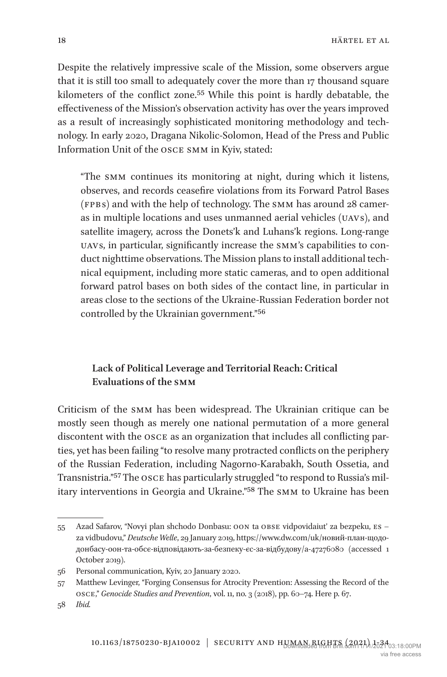Despite the relatively impressive scale of the Mission, some observers argue that it is still too small to adequately cover the more than 17 thousand square kilometers of the conflict zone.[55](#page-17-0) While this point is hardly debatable, the effectiveness of the Mission's observation activity has over the years improved as a result of increasingly sophisticated monitoring methodology and technology. In early 2020, Dragana Nikolic-Solomon, Head of the Press and Public Information Unit of the osce smm in Kyiv, stated:

"The smm continues its monitoring at night, during which it listens, observes, and records ceasefire violations from its Forward Patrol Bases (FPBS) and with the help of technology. The SMM has around 28 cameras in multiple locations and uses unmanned aerial vehicles (uav s), and satellite imagery, across the Donets'k and Luhans'k regions. Long-range uav s, in particular, significantly increase the smm's capabilities to conduct nighttime observations. The Mission plans to install additional technical equipment, including more static cameras, and to open additional forward patrol bases on both sides of the contact line, in particular in areas close to the sections of the Ukraine-Russian Federation border not controlled by the Ukrainian government.["56](#page-17-1)

# **Lack of Political Leverage and Territorial Reach: Critical Evaluations of the smm**

Criticism of the smm has been widespread. The Ukrainian critique can be mostly seen though as merely one national permutation of a more general discontent with the osce as an organization that includes all conflicting parties, yet has been failing "to resolve many protracted conflicts on the periphery of the Russian Federation, including Nagorno-Karabakh, South Ossetia, and Transnistria."[57](#page-17-2) The osce has particularly struggled "to respond to Russia's military interventions in Georgia and Ukraine.["58](#page-17-3) The smm to Ukraine has been

<span id="page-17-0"></span><sup>55</sup> Azad Safarov, "Novyi plan shchodo Donbasu: oon ta obse vidpovidaiut' za bezpeku, es – za vidbudovu," *Deutsche Welle*, 29 January 2019, [https://www.dw.com/uk/н](https://www.dw.com/uk/)овий-план-щододонбасу-оон-та-обсє-відповідають-за-безпеку-єс-за-відбудову/a-47276080 (accessed 1 October 2019).

<span id="page-17-1"></span><sup>56</sup> Personal communication, Kyiv, 20 January 2020.

<span id="page-17-2"></span><sup>57</sup> Matthew Levinger, "Forging Consensus for Atrocity Prevention: Assessing the Record of the osce," *Genocide Studies and Prevention*, vol. 11, no. 3 (2018), pp. 60–74. Here p. 67.

<span id="page-17-3"></span><sup>58</sup> *Ibid.*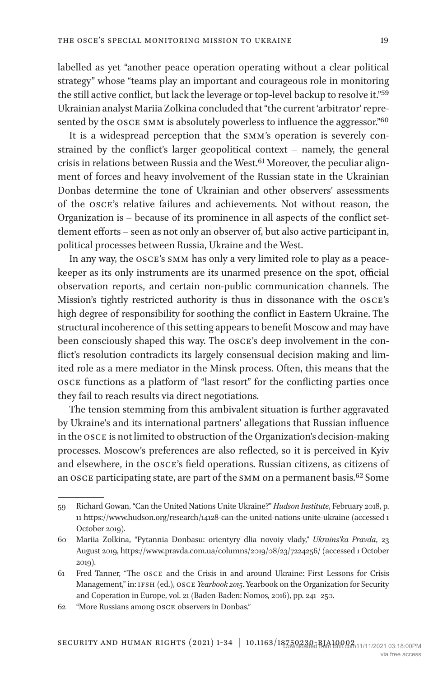labelled as yet "another peace operation operating without a clear political strategy" whose "teams play an important and courageous role in monitoring the still active conflict, but lack the leverage or top-level backup to resolve it."[59](#page-18-0) Ukrainian analyst Mariia Zolkina concluded that "the current 'arbitrator' represented by the OSCE SMM is absolutely powerless to influence the aggressor."<sup>60</sup>

It is a widespread perception that the smm's operation is severely constrained by the conflict's larger geopolitical context – namely, the general crisis in relations between Russia and the West.[61](#page-18-2) Moreover, the peculiar alignment of forces and heavy involvement of the Russian state in the Ukrainian Donbas determine the tone of Ukrainian and other observers' assessments of the osce's relative failures and achievements. Not without reason, the Organization is – because of its prominence in all aspects of the conflict settlement efforts – seen as not only an observer of, but also active participant in, political processes between Russia, Ukraine and the West.

In any way, the osce's smm has only a very limited role to play as a peacekeeper as its only instruments are its unarmed presence on the spot, official observation reports, and certain non-public communication channels. The Mission's tightly restricted authority is thus in dissonance with the osce's high degree of responsibility for soothing the conflict in Eastern Ukraine. The structural incoherence of this setting appears to benefit Moscow and may have been consciously shaped this way. The osce's deep involvement in the conflict's resolution contradicts its largely consensual decision making and limited role as a mere mediator in the Minsk process. Often, this means that the osce functions as a platform of "last resort" for the conflicting parties once they fail to reach results via direct negotiations.

The tension stemming from this ambivalent situation is further aggravated by Ukraine's and its international partners' allegations that Russian influence in the osce is not limited to obstruction of the Organization's decision-making processes. Moscow's preferences are also reflected, so it is perceived in Kyiv and elsewhere, in the osce's field operations. Russian citizens, as citizens of an osce participating state, are part of the smm on a permanent basis.[62](#page-18-3) Some

<span id="page-18-0"></span><sup>59</sup> Richard Gowan, "Can the United Nations Unite Ukraine?" *Hudson Institute*, February 2018, p. 11 <https://www.hudson.org/research/14128-can-the-united-nations-unite-ukraine>(accessed 1 October 2019).

<span id="page-18-1"></span><sup>60</sup> Mariia Zolkina, "Pytannia Donbasu: orientyry dlia novoiy vlady," *Ukrains'ka Pravda*, 23 August 2019,<https://www.pravda.com.ua/columns/2019/08/23/7224256/> (accessed 1 October 2019).

<span id="page-18-2"></span><sup>61</sup> Fred Tanner, "The osce and the Crisis in and around Ukraine: First Lessons for Crisis Management," in: IFSH (ed.), OSCE *Yearbook 2015*. Yearbook on the Organization for Security and Coperation in Europe, vol. 21 (Baden-Baden: Nomos, 2016), pp. 241–250.

<span id="page-18-3"></span><sup>62</sup> "More Russians among osce observers in Donbas."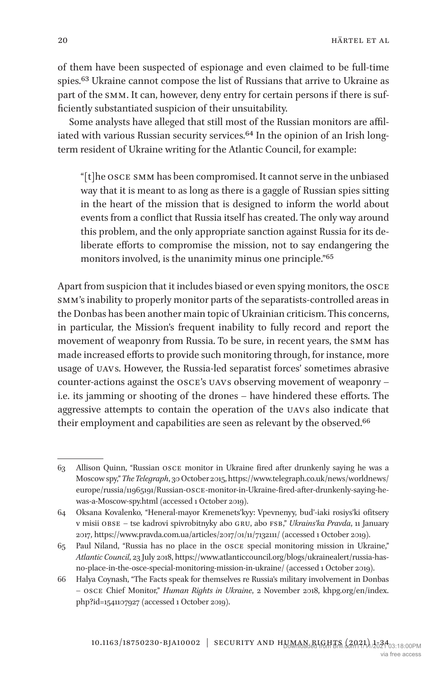of them have been suspected of espionage and even claimed to be full-time spies.[63](#page-19-0) Ukraine cannot compose the list of Russians that arrive to Ukraine as part of the smm. It can, however, deny entry for certain persons if there is sufficiently substantiated suspicion of their unsuitability.

Some analysts have alleged that still most of the Russian monitors are affiliated with various Russian security services.<sup>64</sup> In the opinion of an Irish longterm resident of Ukraine writing for the Atlantic Council, for example:

"[t]he osce smm has been compromised. It cannot serve in the unbiased way that it is meant to as long as there is a gaggle of Russian spies sitting in the heart of the mission that is designed to inform the world about events from a conflict that Russia itself has created. The only way around this problem, and the only appropriate sanction against Russia for its deliberate efforts to compromise the mission, not to say endangering the monitors involved, is the unanimity minus one principle.["65](#page-19-2)

Apart from suspicion that it includes biased or even spying monitors, the osce smm's inability to properly monitor parts of the separatists-controlled areas in the Donbas has been another main topic of Ukrainian criticism. This concerns, in particular, the Mission's frequent inability to fully record and report the movement of weaponry from Russia. To be sure, in recent years, the smm has made increased efforts to provide such monitoring through, for instance, more usage of UAVs. However, the Russia-led separatist forces' sometimes abrasive counter-actions against the OSCE's UAVs observing movement of weaponry i.e. its jamming or shooting of the drones – have hindered these efforts. The aggressive attempts to contain the operation of the UAVs also indicate that their employment and capabilities are seen as relevant by the observed.<sup>66</sup>

<span id="page-19-0"></span><sup>63</sup> Allison Quinn, "Russian osce monitor in Ukraine fired after drunkenly saying he was a Moscow spy," *The Telegraph*, 30 October 2015, [https://www.telegraph.co.uk/news/worldnews/](https://www.telegraph.co.uk/news/worldnews/europe/russia/11965191/Russian-OSCE-monitor-in-Ukraine-fired-after-drunkenly-saying-he-was-a-Moscow-spy.html) [europe/russia/11965191/Russian-OSCE-monitor-in-Ukraine-fired-after-drunkenly-saying-he](https://www.telegraph.co.uk/news/worldnews/europe/russia/11965191/Russian-OSCE-monitor-in-Ukraine-fired-after-drunkenly-saying-he-was-a-Moscow-spy.html)[was-a-Moscow-spy.html](https://www.telegraph.co.uk/news/worldnews/europe/russia/11965191/Russian-OSCE-monitor-in-Ukraine-fired-after-drunkenly-saying-he-was-a-Moscow-spy.html) (accessed 1 October 2019).

<span id="page-19-1"></span><sup>64</sup> Oksana Kovalenko, "Heneral-mayor Kremenets'kyy: Vpevnenyy, bud'-iaki rosiys'ki ofitsery v misii obse – tse kadrovi spivrobitnyky abo gru, abo fsb," *Ukrains'ka Pravda*, 11 January 2017, <https://www.pravda.com.ua/articles/2017/01/11/7132111/> (accessed 1 October 2019).

<span id="page-19-2"></span><sup>65</sup> Paul Niland, "Russia has no place in the osce special monitoring mission in Ukraine," *Atlantic Council*, 23 July 2018, [https://www.atlanticcouncil.org/blogs/ukrainealert/russia-has](https://www.atlanticcouncil.org/blogs/ukrainealert/russia-has-no-place-in-the-osce-special-monitoring-mission-in-ukraine/)[no-place-in-the-osce-special-monitoring-mission-in-ukraine/](https://www.atlanticcouncil.org/blogs/ukrainealert/russia-has-no-place-in-the-osce-special-monitoring-mission-in-ukraine/) (accessed 1 October 2019).

<span id="page-19-3"></span><sup>66</sup> Halya Coynash, "The Facts speak for themselves re Russia's military involvement in Donbas – osce Chief Monitor," *Human Rights in Ukraine*, 2 November 2018, khpg.org/en/index. php?id=1541107927 (accessed 1 October 2019).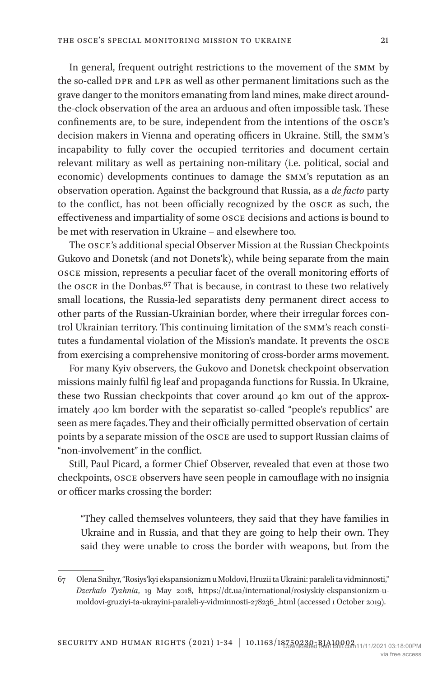In general, frequent outright restrictions to the movement of the smm by the so-called DPR and LPR as well as other permanent limitations such as the grave danger to the monitors emanating from land mines, make direct aroundthe-clock observation of the area an arduous and often impossible task. These confinements are, to be sure, independent from the intentions of the osce's decision makers in Vienna and operating officers in Ukraine. Still, the smm's incapability to fully cover the occupied territories and document certain relevant military as well as pertaining non-military (i.e. political, social and economic) developments continues to damage the smm's reputation as an observation operation. Against the background that Russia, as a *de facto* party to the conflict, has not been officially recognized by the osce as such, the effectiveness and impartiality of some osce decisions and actions is bound to be met with reservation in Ukraine – and elsewhere too.

The osce's additional special Observer Mission at the Russian Checkpoints Gukovo and Donetsk (and not Donets'k), while being separate from the main osce mission, represents a peculiar facet of the overall monitoring efforts of the osce in the Donbas.[67](#page-20-0) That is because, in contrast to these two relatively small locations, the Russia-led separatists deny permanent direct access to other parts of the Russian-Ukrainian border, where their irregular forces control Ukrainian territory. This continuing limitation of the smm's reach constitutes a fundamental violation of the Mission's mandate. It prevents the osce from exercising a comprehensive monitoring of cross-border arms movement.

For many Kyiv observers, the Gukovo and Donetsk checkpoint observation missions mainly fulfil fig leaf and propaganda functions for Russia. In Ukraine, these two Russian checkpoints that cover around 40 km out of the approximately 400 km border with the separatist so-called "people's republics" are seen as mere façades. They and their officially permitted observation of certain points by a separate mission of the osce are used to support Russian claims of "non-involvement" in the conflict.

Still, Paul Picard, a former Chief Observer, revealed that even at those two checkpoints, osce observers have seen people in camouflage with no insignia or officer marks crossing the border:

"They called themselves volunteers, they said that they have families in Ukraine and in Russia, and that they are going to help their own. They said they were unable to cross the border with weapons, but from the

<span id="page-20-0"></span><sup>67</sup> Olena Snihyr, "Rosiys'kyi ekspansionizm u Moldovi, Hruzii ta Ukraini: paraleli ta vidminnosti," *Dzerkalo Tyzhnia*, 19 May 2018, [https://dt.ua/international/rosiyskiy-ekspansionizm-u](https://dt.ua/international/rosiyskiy-ekspansionizm-u-moldovi-gruziyi-ta-ukrayini-paraleli-y-vidminnosti-278236_.html)[moldovi-gruziyi-ta-ukrayini-paraleli-y-vidminnosti-278236\\_.html](https://dt.ua/international/rosiyskiy-ekspansionizm-u-moldovi-gruziyi-ta-ukrayini-paraleli-y-vidminnosti-278236_.html) (accessed 1 October 2019).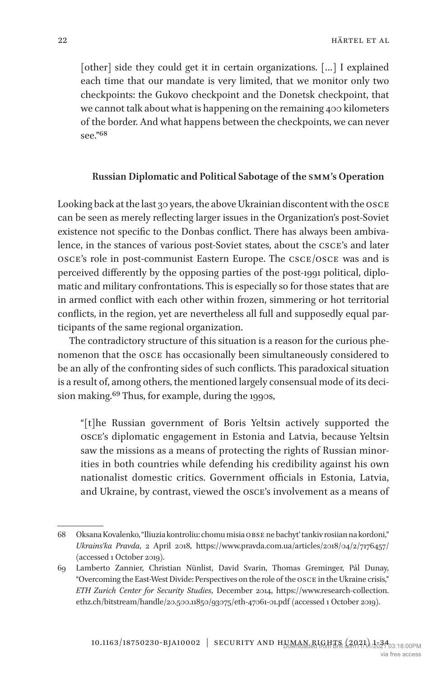[other] side they could get it in certain organizations. [...] I explained each time that our mandate is very limited, that we monitor only two checkpoints: the Gukovo checkpoint and the Donetsk checkpoint, that we cannot talk about what is happening on the remaining 400 kilometers of the border. And what happens between the checkpoints, we can never see."[68](#page-21-0)

### **Russian Diplomatic and Political Sabotage of the smm's Operation**

Looking back at the last 30 years, the above Ukrainian discontent with the osce can be seen as merely reflecting larger issues in the Organization's post-Soviet existence not specific to the Donbas conflict. There has always been ambivalence, in the stances of various post-Soviet states, about the csce's and later osce's role in post-communist Eastern Europe. The csce/osce was and is perceived differently by the opposing parties of the post-1991 political, diplomatic and military confrontations. This is especially so for those states that are in armed conflict with each other within frozen, simmering or hot territorial conflicts, in the region, yet are nevertheless all full and supposedly equal participants of the same regional organization.

The contradictory structure of this situation is a reason for the curious phenomenon that the osce has occasionally been simultaneously considered to be an ally of the confronting sides of such conflicts. This paradoxical situation is a result of, among others, the mentioned largely consensual mode of its decision making[.69](#page-21-1) Thus, for example, during the 1990s,

"[t]he Russian government of Boris Yeltsin actively supported the osce's diplomatic engagement in Estonia and Latvia, because Yeltsin saw the missions as a means of protecting the rights of Russian minorities in both countries while defending his credibility against his own nationalist domestic critics. Government officials in Estonia, Latvia, and Ukraine, by contrast, viewed the osce's involvement as a means of

<span id="page-21-0"></span><sup>68</sup> Oksana Kovalenko, "Iliuzia kontroliu: chomu misia obse ne bachyt' tankiv rosiian na kordoni," *Ukrains'ka Pravda*, 2 April 2018, <https://www.pravda.com.ua/articles/2018/04/2/7176457/> (accessed 1 October 2019).

<span id="page-21-1"></span><sup>69</sup> Lamberto Zannier, Christian Nünlist, David Svarin, Thomas Greminger, Pál Dunay, "Overcoming the East-West Divide: Perspectives on the role of the osce in the Ukraine crisis," *ETH Zurich Center for Security Studies*, December 2014, [https://www.research-collection.](https://www.research-collection.ethz.ch/bitstream/handle/20.500.11850/93075/eth-47061-01.pdf) [ethz.ch/bitstream/handle/20.500.11850/93075/eth-47061-01.pdf](https://www.research-collection.ethz.ch/bitstream/handle/20.500.11850/93075/eth-47061-01.pdf) (accessed 1 October 2019).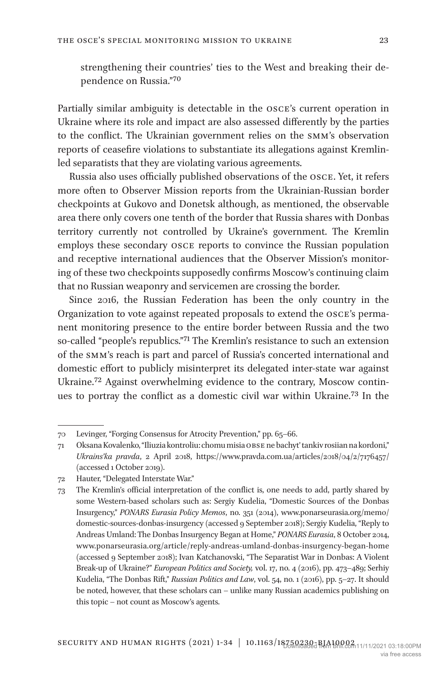strengthening their countries' ties to the West and breaking their dependence on Russia.["70](#page-22-0)

Partially similar ambiguity is detectable in the osce's current operation in Ukraine where its role and impact are also assessed differently by the parties to the conflict. The Ukrainian government relies on the smm's observation reports of ceasefire violations to substantiate its allegations against Kremlinled separatists that they are violating various agreements.

Russia also uses officially published observations of the osce. Yet, it refers more often to Observer Mission reports from the Ukrainian-Russian border checkpoints at Gukovo and Donetsk although, as mentioned, the observable area there only covers one tenth of the border that Russia shares with Donbas territory currently not controlled by Ukraine's government. The Kremlin employs these secondary osce reports to convince the Russian population and receptive international audiences that the Observer Mission's monitoring of these two checkpoints supposedly confirms Moscow's continuing claim that no Russian weaponry and servicemen are crossing the border.

Since 2016, the Russian Federation has been the only country in the Organization to vote against repeated proposals to extend the osce's permanent monitoring presence to the entire border between Russia and the two so-called "people's republics.["71](#page-22-1) The Kremlin's resistance to such an extension of the smm's reach is part and parcel of Russia's concerted international and domestic effort to publicly misinterpret its delegated inter-state war against Ukraine.[72](#page-22-2) Against overwhelming evidence to the contrary, Moscow continues to portray the conflict as a domestic civil war within Ukraine[.73](#page-22-3) In the

<span id="page-22-0"></span><sup>70</sup> Levinger, "Forging Consensus for Atrocity Prevention," pp. 65–66.

<span id="page-22-1"></span><sup>71</sup> Oksana Kovalenko, "Iliuzia kontroliu: chomu misia obse ne bachyt' tankiv rosiian na kordoni," *Ukrains'ka pravda*, 2 April 2018, <https://www.pravda.com.ua/articles/2018/04/2/7176457/> (accessed 1 October 2019).

<span id="page-22-2"></span><sup>72</sup> Hauter, "Delegated Interstate War."

<span id="page-22-3"></span><sup>73</sup> The Kremlin's official interpretation of the conflict is, one needs to add, partly shared by some Western-based scholars such as: Sergiy Kudelia, "Domestic Sources of the Donbas Insurgency," *PONARS Eurasia Policy Memos*, no. 351 (2014), [www.ponarseurasia.org/memo/](http://www.ponarseurasia.org/memo/domestic-sources-donbas-insurgency) [domestic-sources-donbas-insurgency](http://www.ponarseurasia.org/memo/domestic-sources-donbas-insurgency) (accessed 9 September 2018); Sergiy Kudelia, "Reply to Andreas Umland: The Donbas Insurgency Began at Home," *PONARS Eurasia*, 8 October 2014, [www.ponarseurasia.org/article/reply-andreas-umland-donbas-insurgency-began-home](http://www.ponarseurasia.org/article/reply-andreas-umland-donbas-insurgency-began-home)  (accessed 9 September 2018); Ivan Katchanovski, "The Separatist War in Donbas: A Violent Break-up of Ukraine?" *European Politics and Society,* vol. 17, no. 4 (2016), pp. 473–489; Serhiy Kudelia, "The Donbas Rift," *Russian Politics and Law*, vol. 54, no. 1 (2016), pp. 5–27. It should be noted, however, that these scholars can – unlike many Russian academics publishing on this topic – not count as Moscow's agents.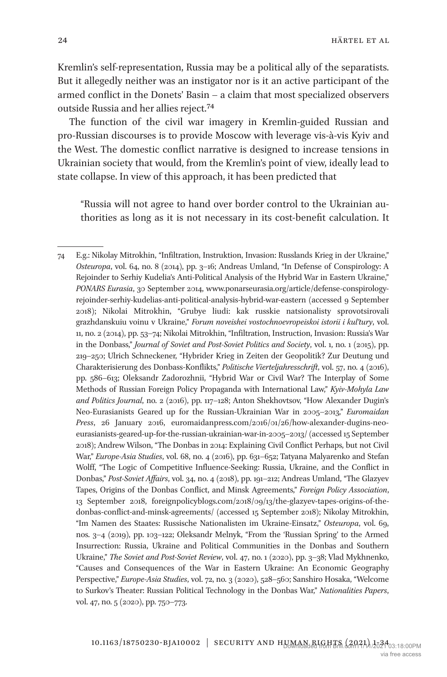Kremlin's self-representation, Russia may be a political ally of the separatists. But it allegedly neither was an instigator nor is it an active participant of the armed conflict in the Donets' Basin – a claim that most specialized observers outside Russia and her allies reject[.74](#page-23-0)

The function of the civil war imagery in Kremlin-guided Russian and pro-Russian discourses is to provide Moscow with leverage vis-à-vis Kyiv and the West. The domestic conflict narrative is designed to increase tensions in Ukrainian society that would, from the Kremlin's point of view, ideally lead to state collapse. In view of this approach, it has been predicted that

"Russia will not agree to hand over border control to the Ukrainian authorities as long as it is not necessary in its cost-benefit calculation. It

<span id="page-23-0"></span><sup>74</sup> E.g.: Nikolay Mitrokhin, "Infiltration, Instruktion, Invasion: Russlands Krieg in der Ukraine," *Osteuropa*, vol. 64, no. 8 (2014), pp. 3–16; Andreas Umland, "In Defense of Conspirology: A Rejoinder to Serhiy Kudelia's Anti-Political Analysis of the Hybrid War in Eastern Ukraine," *PONARS Eurasia*, 30 September 2014, [www.ponarseurasia.org/article/defense-conspirology](http://www.ponarseurasia.org/article/defense-conspirology-rejoinder-serhiy-kudelias-anti-political-analysis-hybrid-war-eastern)[rejoinder-serhiy-kudelias-anti-political-analysis-hybrid-war-eastern](http://www.ponarseurasia.org/article/defense-conspirology-rejoinder-serhiy-kudelias-anti-political-analysis-hybrid-war-eastern) (accessed 9 September 2018); Nikolai Mitrokhin, "Grubye liudi: kak russkie natsionalisty sprovotsirovali grazhdanskuiu voinu v Ukraine," *Forum noveishei vostochnoevropeiskoi istorii i kul'tury*, vol. 11, no. 2 (2014), pp. 53–74; Nikolai Mitrokhin, "Infiltration, Instruction, Invasion: Russia's War in the Donbass," *Journal of Soviet and Post-Soviet Politics and Society*, vol. 1, no. 1 (2015), pp. 219–250; Ulrich Schneckener, "Hybrider Krieg in Zeiten der Geopolitik? Zur Deutung und Charakterisierung des Donbass-Konflikts," *Politische Vierteljahresschrift*, vol. 57, no. 4 (2016), pp. 586–613; Oleksandr Zadorozhnii, "Hybrid War or Civil War? The Interplay of Some Methods of Russian Foreign Policy Propaganda with International Law," *Kyiv-Mohyla Law and Politics Journal*, no. 2 (2016), pp. 117–128; Anton Shekhovtsov, "How Alexander Dugin's Neo-Eurasianists Geared up for the Russian-Ukrainian War in 2005–2013," *Euromaidan Press*, 26 January 2016, euromaidanpress.com/2016/01/26/how-alexander-dugins-neoeurasianists-geared-up-for-the-russian-ukrainian-war-in-2005–2013/ (accessed 15 September 2018); Andrew Wilson, "The Donbas in 2014: Explaining Civil Conflict Perhaps, but not Civil War," *Europe-Asia Studies*, vol. 68, no. 4 (2016), pp. 631–652; Tatyana Malyarenko and Stefan Wolff, "The Logic of Competitive Influence-Seeking: Russia, Ukraine, and the Conflict in Donbas," *Post-Soviet Affairs*, vol. 34, no. 4 (2018), pp. 191–212; Andreas Umland, "The Glazyev Tapes, Origins of the Donbas Conflict, and Minsk Agreements," *Foreign Policy Association*, 13 September 2018, foreignpolicyblogs.com/2018/09/13/the-glazyev-tapes-origins-of-thedonbas-conflict-and-minsk-agreements/ (accessed 15 September 2018); Nikolay Mitrokhin, "Im Namen des Staates: Russische Nationalisten im Ukraine-Einsatz," *Osteuropa*, vol. 69, nos. 3–4 (2019), pp. 103–122; Oleksandr Melnyk, "From the 'Russian Spring' to the Armed Insurrection: Russia, Ukraine and Political Communities in the Donbas and Southern Ukraine," *The Soviet and Post-Soviet Review*, vol. 47, no. 1 (2020), pp. 3–38; Vlad Mykhnenko, "Causes and Consequences of the War in Eastern Ukraine: An Economic Geography Perspective," *Europe-Asia Studies*, vol. 72, no. 3 (2020), 528–560; Sanshiro Hosaka, "Welcome to Surkov's Theater: Russian Political Technology in the Donbas War," *Nationalities Papers*, vol. 47, no. 5 (2020), pp. 750–773.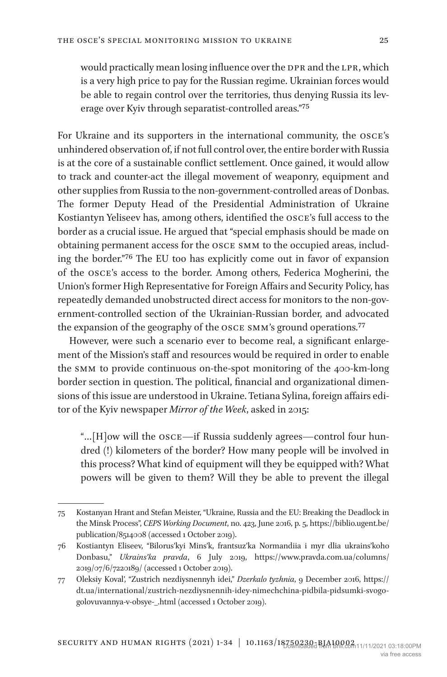would practically mean losing influence over the DPR and the LPR, which is a very high price to pay for the Russian regime. Ukrainian forces would be able to regain control over the territories, thus denying Russia its leverage over Kyiv through separatist-controlled areas."[75](#page-24-0)

For Ukraine and its supporters in the international community, the osce's unhindered observation of, if not full control over, the entire border with Russia is at the core of a sustainable conflict settlement. Once gained, it would allow to track and counter-act the illegal movement of weaponry, equipment and other supplies from Russia to the non-government-controlled areas of Donbas. The former Deputy Head of the Presidential Administration of Ukraine Kostiantyn Yeliseev has, among others, identified the osce's full access to the border as a crucial issue. He argued that "special emphasis should be made on obtaining permanent access for the osce smm to the occupied areas, including the border."[76](#page-24-1) The EU too has explicitly come out in favor of expansion of the osce's access to the border. Among others, Federica Mogherini, the Union's former High Representative for Foreign Affairs and Security Policy, has repeatedly demanded unobstructed direct access for monitors to the non-government-controlled section of the Ukrainian-Russian border, and advocated the expansion of the geography of the OSCE SMM's ground operations.<sup>77</sup>

However, were such a scenario ever to become real, a significant enlargement of the Mission's staff and resources would be required in order to enable the smm to provide continuous on-the-spot monitoring of the 400-km-long border section in question. The political, financial and organizational dimensions of this issue are understood in Ukraine. Tetiana Sylina, foreign affairs editor of the Kyiv newspaper *Mirror of the Week*, asked in 2015:

"…[H]ow will the osce—if Russia suddenly agrees—control four hundred (!) kilometers of the border? How many people will be involved in this process? What kind of equipment will they be equipped with? What powers will be given to them? Will they be able to prevent the illegal

<span id="page-24-0"></span><sup>75</sup> Kostanyan Hrant and Stefan Meister, "Ukraine, Russia and the EU: Breaking the Deadlock in the Minsk Process", *CEPS Working Document*, no. 423, June 2016, p. 5, [https://biblio.ugent.be/](https://biblio.ugent.be/publication/8514008) [publication/8514008](https://biblio.ugent.be/publication/8514008) (accessed 1 October 2019).

<span id="page-24-1"></span><sup>76</sup> Kostiantyn Eliseev, "Bilorus'kyi Mins'k, frantsuz'ka Normandiia i myr dlia ukrains'koho Donbasu," *Ukrains'ka pravda*, 6 July 2019, [https://www.pravda.com.ua/columns/](https://www.pravda.com.ua/columns/2019/07/6/7220189/) [2019/07/6/7220189/](https://www.pravda.com.ua/columns/2019/07/6/7220189/) (accessed 1 October 2019).

<span id="page-24-2"></span><sup>77</sup> Oleksiy Koval', "Zustrich nezdiysnennyh idei," *Dzerkalo tyzhnia*, 9 December 2016, [https://](https://dt.ua/international/zustrich-nezdiysnennih-idey-nimechchina-pidbila-pidsumki-svogo-golovuvannya-v-obsye-_.html) [dt.ua/international/zustrich-nezdiysnennih-idey-nimechchina-pidbila-pidsumki-svogo](https://dt.ua/international/zustrich-nezdiysnennih-idey-nimechchina-pidbila-pidsumki-svogo-golovuvannya-v-obsye-_.html)[golovuvannya-v-obsye-\\_.html](https://dt.ua/international/zustrich-nezdiysnennih-idey-nimechchina-pidbila-pidsumki-svogo-golovuvannya-v-obsye-_.html) (accessed 1 October 2019).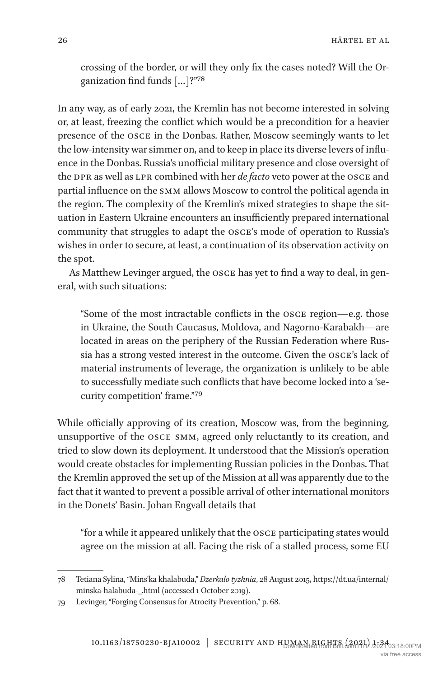crossing of the border, or will they only fix the cases noted? Will the Organization find funds […]?"[78](#page-25-0)

In any way, as of early 2021, the Kremlin has not become interested in solving or, at least, freezing the conflict which would be a precondition for a heavier presence of the osce in the Donbas. Rather, Moscow seemingly wants to let the low-intensity war simmer on, and to keep in place its diverse levers of influence in the Donbas. Russia's unofficial military presence and close oversight of the DPR as well as LPR combined with her *de facto* veto power at the OSCE and partial influence on the smm allows Moscow to control the political agenda in the region. The complexity of the Kremlin's mixed strategies to shape the situation in Eastern Ukraine encounters an insufficiently prepared international community that struggles to adapt the osce's mode of operation to Russia's wishes in order to secure, at least, a continuation of its observation activity on the spot.

As Matthew Levinger argued, the osce has yet to find a way to deal, in general, with such situations:

"Some of the most intractable conflicts in the osce region—e.g. those in Ukraine, the South Caucasus, Moldova, and Nagorno-Karabakh—are located in areas on the periphery of the Russian Federation where Russia has a strong vested interest in the outcome. Given the osce's lack of material instruments of leverage, the organization is unlikely to be able to successfully mediate such conflicts that have become locked into a 'security competition' frame.["79](#page-25-1)

While officially approving of its creation, Moscow was, from the beginning, unsupportive of the osce smm, agreed only reluctantly to its creation, and tried to slow down its deployment. It understood that the Mission's operation would create obstacles for implementing Russian policies in the Donbas. That the Kremlin approved the set up of the Mission at all was apparently due to the fact that it wanted to prevent a possible arrival of other international monitors in the Donets' Basin. Johan Engvall details that

"for a while it appeared unlikely that the osce participating states would agree on the mission at all. Facing the risk of a stalled process, some EU

<span id="page-25-0"></span><sup>78</sup> Tetiana Sylina, "Mins'ka khalabuda," *Dzerkalo tyzhnia*, 28 August 2015, [https://dt.ua/internal/](https://dt.ua/internal/minska-halabuda-_.html) [minska-halabuda-\\_.html](https://dt.ua/internal/minska-halabuda-_.html) (accessed 1 October 2019).

<span id="page-25-1"></span><sup>79</sup> Levinger, "Forging Consensus for Atrocity Prevention," p. 68.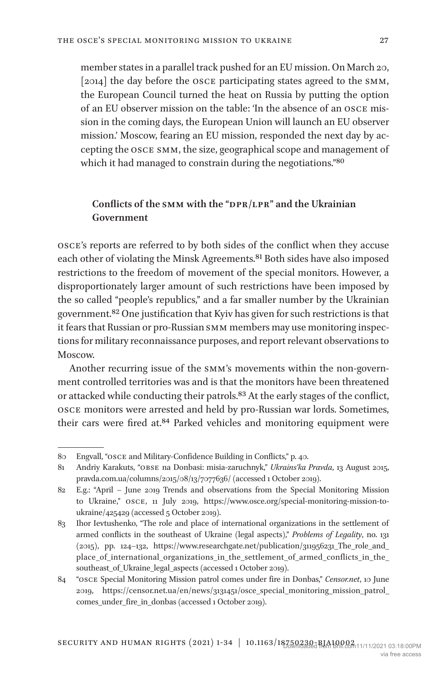member states in a parallel track pushed for an EU mission. On March 20, [2014] the day before the OSCE participating states agreed to the SMM, the European Council turned the heat on Russia by putting the option of an EU observer mission on the table: 'In the absence of an osce mission in the coming days, the European Union will launch an EU observer mission.' Moscow, fearing an EU mission, responded the next day by accepting the osce smm, the size, geographical scope and management of which it had managed to constrain during the negotiations."[80](#page-26-0)

# **Conflicts of the SMM with the "DPR/LPR" and the Ukrainian Government**

osce's reports are referred to by both sides of the conflict when they accuse each other of violating the Minsk Agreements.<sup>81</sup> Both sides have also imposed restrictions to the freedom of movement of the special monitors. However, a disproportionately larger amount of such restrictions have been imposed by the so called "people's republics," and a far smaller number by the Ukrainian government.[82](#page-26-2) One justification that Kyiv has given for such restrictions is that it fears that Russian or pro-Russian smm members may use monitoring inspections for military reconnaissance purposes, and report relevant observations to Moscow.

Another recurring issue of the smm's movements within the non-government controlled territories was and is that the monitors have been threatened or attacked while conducting their patrols[.83](#page-26-3) At the early stages of the conflict, osce monitors were arrested and held by pro-Russian war lords. Sometimes, their cars were fired at.<sup>84</sup> Parked vehicles and monitoring equipment were

<span id="page-26-0"></span><sup>80</sup> Engvall, "osce and Military-Confidence Building in Conflicts," p. 40.

<span id="page-26-1"></span><sup>81</sup> Andriy Karakuts, "obse na Donbasi: misia-zaruchnyk," *Ukrains'ka Pravda*, 13 August 2015, pravda.com.ua/columns/2015/08/13/7077636/ (accessed 1 October 2019).

<span id="page-26-2"></span><sup>82</sup> E.g.: "April – June 2019 Trends and observations from the Special Monitoring Mission to Ukraine," OSCE, 11 July 2019, [https://www.osce.org/special-monitoring-mission-to](https://www.osce.org/special-monitoring-mission-to-ukraine/425429)[ukraine/425429](https://www.osce.org/special-monitoring-mission-to-ukraine/425429) (accessed 5 October 2019).

<span id="page-26-3"></span><sup>83</sup> Ihor Ievtushenko, "The role and place of international organizations in the settlement of armed conflicts in the southeast of Ukraine (legal aspects)," *Problems of Legality*, no. 131 (2015), pp. 124–132, [https://www.researchgate.net/publication/311956231\\_The\\_role\\_and\\_](https://www.researchgate.net/publication/311956231_The_role_and_place_of_international_organizations_in_the_settlement_of_armed_conflicts_in_the_southeast_of_Ukraine_legal_aspects) [place\\_of\\_international\\_organizations\\_in\\_the\\_settlement\\_of\\_armed\\_conflicts\\_in\\_the\\_](https://www.researchgate.net/publication/311956231_The_role_and_place_of_international_organizations_in_the_settlement_of_armed_conflicts_in_the_southeast_of_Ukraine_legal_aspects) [southeast\\_of\\_Ukraine\\_legal\\_aspects](https://www.researchgate.net/publication/311956231_The_role_and_place_of_international_organizations_in_the_settlement_of_armed_conflicts_in_the_southeast_of_Ukraine_legal_aspects) (accessed 1 October 2019).

<span id="page-26-4"></span><sup>84</sup> "osce Special Monitoring Mission patrol comes under fire in Donbas," *Censor.net*, 10 June 2019, [https://censor.net.ua/en/news/3131451/osce\\_special\\_monitoring\\_mission\\_patrol\\_](https://censor.net.ua/en/news/3131451/osce_special_monitoring_mission_patrol_comes_under_fire_in_donbas) [comes\\_under\\_fire\\_in\\_donbas](https://censor.net.ua/en/news/3131451/osce_special_monitoring_mission_patrol_comes_under_fire_in_donbas) (accessed 1 October 2019).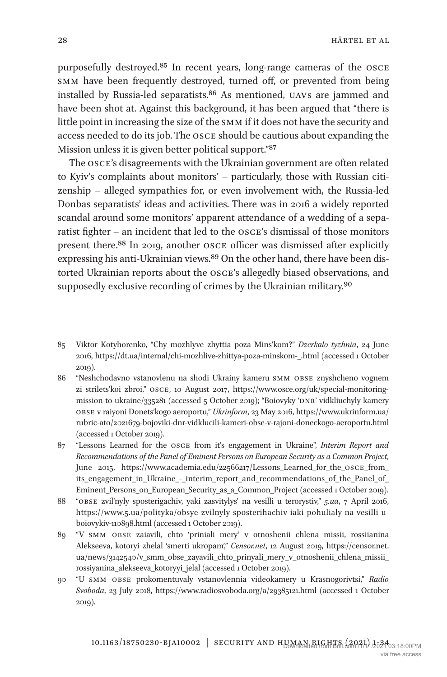purposefully destroyed[.85](#page-27-0) In recent years, long-range cameras of the osce smm have been frequently destroyed, turned off, or prevented from being installed by Russia-led separatists.<sup>86</sup> As mentioned, UAVs are jammed and have been shot at. Against this background, it has been argued that "there is little point in increasing the size of the smm if it does not have the security and access needed to do its job. The osce should be cautious about expanding the Mission unless it is given better political support.["87](#page-27-2)

The osce's disagreements with the Ukrainian government are often related to Kyiv's complaints about monitors' – particularly, those with Russian citizenship – alleged sympathies for, or even involvement with, the Russia-led Donbas separatists' ideas and activities. There was in 2016 a widely reported scandal around some monitors' apparent attendance of a wedding of a separatist fighter – an incident that led to the osce's dismissal of those monitors present there[.88](#page-27-3) In 2019, another osce officer was dismissed after explicitly expressing his anti-Ukrainian views.<sup>89</sup> On the other hand, there have been distorted Ukrainian reports about the osce's allegedly biased observations, and supposedly exclusive recording of crimes by the Ukrainian military.<sup>90</sup>

<span id="page-27-0"></span><sup>85</sup> Viktor Kotyhorenko, "Chy mozhlyve zhyttia poza Mins'kom?" *Dzerkalo tyzhnia*, 24 June 2016, [https://dt.ua/internal/chi-mozhlive-zhittya-poza-minskom-\\_.html](https://dt.ua/internal/chi-mozhlive-zhittya-poza-minskom-_.html) (accessed 1 October 2019).

<span id="page-27-1"></span><sup>86</sup> "Neshchodavno vstanovlenu na shodi Ukrainy kameru smm obse znyshcheno vognem zi strilets'koi zbroi," OSCE, 10 August 2017, [https://www.osce.org/uk/special-monitoring](https://www.osce.org/uk/special-monitoring-mission-to-ukraine/335281)[mission-to-ukraine/335281](https://www.osce.org/uk/special-monitoring-mission-to-ukraine/335281) (accessed 5 October 2019); "Boiovyky 'DNR' vidkliuchyly kamery obse v raiyoni Donets'kogo aeroportu," *Ukrinform*, 23 May 2016, [https://www.ukrinform.ua/](https://www.ukrinform.ua/rubric-ato/2021679-bojoviki-dnr-vidklucili-kameri-obse-v-rajoni-doneckogo-aeroportu.html) [rubric-ato/2021679-bojoviki-dnr-vidklucili-kameri-obse-v-rajoni-doneckogo-aeroportu.html](https://www.ukrinform.ua/rubric-ato/2021679-bojoviki-dnr-vidklucili-kameri-obse-v-rajoni-doneckogo-aeroportu.html)  (accessed 1 October 2019).

<span id="page-27-2"></span><sup>87</sup> "Lessons Learned for the osce from it's engagement in Ukraine", *Interim Report and Recommendations of the Panel of Eminent Persons on European Security as a Common Project*, June 2015, [https://www.academia.edu/22566217/Lessons\\_Learned\\_for\\_the\\_OSCE\\_from\\_](https://www.academia.edu/22566217/Lessons_Learned_for_the_OSCE_from_its_engagement_in_Ukraine_-_interim_report_and_recommendations_of_the_Panel_of_Eminent_Persons_on_European_Security_as_a_Common_Project) [its\\_engagement\\_in\\_Ukraine\\_-\\_interim\\_report\\_and\\_recommendations\\_of\\_the\\_Panel\\_of\\_](https://www.academia.edu/22566217/Lessons_Learned_for_the_OSCE_from_its_engagement_in_Ukraine_-_interim_report_and_recommendations_of_the_Panel_of_Eminent_Persons_on_European_Security_as_a_Common_Project) [Eminent\\_Persons\\_on\\_European\\_Security\\_as\\_a\\_Common\\_Project](https://www.academia.edu/22566217/Lessons_Learned_for_the_OSCE_from_its_engagement_in_Ukraine_-_interim_report_and_recommendations_of_the_Panel_of_Eminent_Persons_on_European_Security_as_a_Common_Project) (accessed 1 October 2019).

<span id="page-27-3"></span><sup>88</sup> "obse zvil'nyly sposterigachiv, yaki zasvitylys' na vesilli u terorystiv," *5.ua*, 7 April 2016, [https://www.5.ua/polityka/obsye-zvilnyly-sposterihachiv-iaki-pohulialy-na-vesilli-u](https://www.5.ua/polityka/obsye-zvilnyly-sposterihachiv-iaki-pohulialy-na-vesilli-u-boiovykiv-110898.html)[boiovykiv-110898.html](https://www.5.ua/polityka/obsye-zvilnyly-sposterihachiv-iaki-pohulialy-na-vesilli-u-boiovykiv-110898.html) (accessed 1 October 2019).

<span id="page-27-4"></span><sup>89</sup> "V smm obse zaiavili, chto 'priniali mery' v otnoshenii chlena missii, rossiianina Alekseeva, kotoryi zhelal 'smerti ukropam'," *Censor.net*, 12 August 2019, [https://censor.net.](https://censor.net.ua/news/3142540/v_smm_obse_zayavili_chto_prinyali_mery_v_otnoshenii_chlena_missii_rossiyanina_alekseeva_kotoryyi_jelal) [ua/news/3142540/v\\_smm\\_obse\\_zayavili\\_chto\\_prinyali\\_mery\\_v\\_otnoshenii\\_chlena\\_missii\\_](https://censor.net.ua/news/3142540/v_smm_obse_zayavili_chto_prinyali_mery_v_otnoshenii_chlena_missii_rossiyanina_alekseeva_kotoryyi_jelal) [rossiyanina\\_alekseeva\\_kotoryyi\\_jelal](https://censor.net.ua/news/3142540/v_smm_obse_zayavili_chto_prinyali_mery_v_otnoshenii_chlena_missii_rossiyanina_alekseeva_kotoryyi_jelal) (accessed 1 October 2019).

<span id="page-27-5"></span><sup>90</sup> "U smm obse prokomentuvaly vstanovlennia videokamery u Krasnogorivtsi," *Radio Svoboda*, 23 July 2018, <https://www.radiosvoboda.org/a/29385121.html> (accessed 1 October 2019).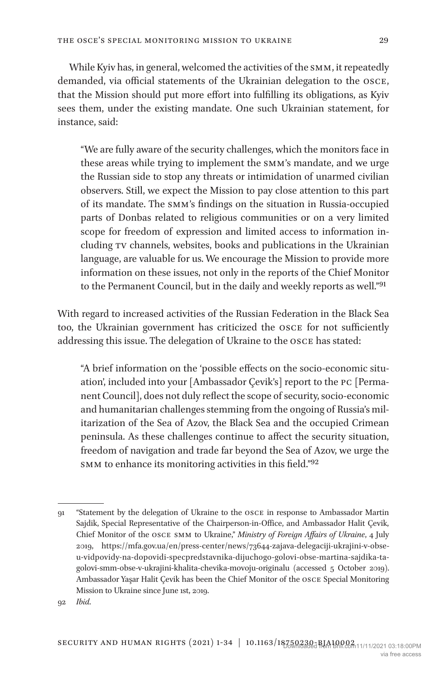While Kyiv has, in general, welcomed the activities of the SMM, it repeatedly demanded, via official statements of the Ukrainian delegation to the osce, that the Mission should put more effort into fulfilling its obligations, as Kyiv sees them, under the existing mandate. One such Ukrainian statement, for instance, said:

"We are fully aware of the security challenges, which the monitors face in these areas while trying to implement the smm's mandate, and we urge the Russian side to stop any threats or intimidation of unarmed civilian observers. Still, we expect the Mission to pay close attention to this part of its mandate. The smm's findings on the situation in Russia-occupied parts of Donbas related to religious communities or on a very limited scope for freedom of expression and limited access to information including tv channels, websites, books and publications in the Ukrainian language, are valuable for us. We encourage the Mission to provide more information on these issues, not only in the reports of the Chief Monitor to the Permanent Council, but in the daily and weekly reports as well."[91](#page-28-0)

With regard to increased activities of the Russian Federation in the Black Sea too, the Ukrainian government has criticized the osce for not sufficiently addressing this issue. The delegation of Ukraine to the osce has stated:

"A brief information on the 'possible effects on the socio-economic situation', included into your [Ambassador Çevik's] report to the pc [Permanent Council], does not duly reflect the scope of security, socio-economic and humanitarian challenges stemming from the ongoing of Russia's militarization of the Sea of Azov, the Black Sea and the occupied Crimean peninsula. As these challenges continue to affect the security situation, freedom of navigation and trade far beyond the Sea of Azov, we urge the smm to enhance its monitoring activities in this field."[92](#page-28-1)

<span id="page-28-0"></span><sup>91</sup> "Statement by the delegation of Ukraine to the osce in response to Ambassador Martin Sajdik, Special Representative of the Chairperson-in-Office, and Ambassador Halit Çevik, Chief Monitor of the osce smm to Ukraine," *Ministry of Foreign Affairs of Ukraine*, 4 July 2019, [https://mfa.gov.ua/en/press-center/news/73644-zajava-delegaciji-ukrajini-v-obse](https://mfa.gov.ua/en/press-center/news/73644-zajava-delegaciji-ukrajini-v-obse-u-vidpovidy-na-dopovidi-specpredstavnika-dijuchogo-golovi-obse-martina-sajdika-ta-golovi-smm-obse-v-ukrajini-khalita-chevika-movoju-originalu)[u-vidpovidy-na-dopovidi-specpredstavnika-dijuchogo-golovi-obse-martina-sajdika-ta](https://mfa.gov.ua/en/press-center/news/73644-zajava-delegaciji-ukrajini-v-obse-u-vidpovidy-na-dopovidi-specpredstavnika-dijuchogo-golovi-obse-martina-sajdika-ta-golovi-smm-obse-v-ukrajini-khalita-chevika-movoju-originalu)[golovi-smm-obse-v-ukrajini-khalita-chevika-movoju-originalu](https://mfa.gov.ua/en/press-center/news/73644-zajava-delegaciji-ukrajini-v-obse-u-vidpovidy-na-dopovidi-specpredstavnika-dijuchogo-golovi-obse-martina-sajdika-ta-golovi-smm-obse-v-ukrajini-khalita-chevika-movoju-originalu) (accessed 5 October 2019). Ambassador Yaşar Halit Çevik has been the Chief Monitor of the osce Special Monitoring Mission to Ukraine since June 1st, 2019.

<span id="page-28-1"></span><sup>92</sup> *Ibid*.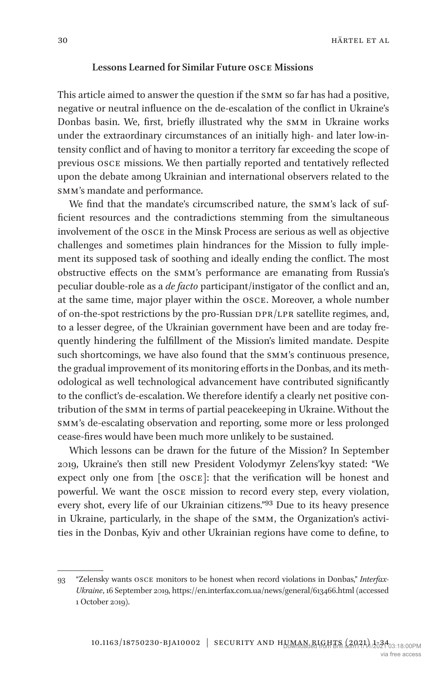## **Lessons Learned for Similar Future osce Missions**

This article aimed to answer the question if the smm so far has had a positive, negative or neutral influence on the de-escalation of the conflict in Ukraine's Donbas basin. We, first, briefly illustrated why the smm in Ukraine works under the extraordinary circumstances of an initially high- and later low-intensity conflict and of having to monitor a territory far exceeding the scope of previous osce missions. We then partially reported and tentatively reflected upon the debate among Ukrainian and international observers related to the smm's mandate and performance.

We find that the mandate's circumscribed nature, the SMM's lack of sufficient resources and the contradictions stemming from the simultaneous involvement of the osce in the Minsk Process are serious as well as objective challenges and sometimes plain hindrances for the Mission to fully implement its supposed task of soothing and ideally ending the conflict. The most obstructive effects on the smm's performance are emanating from Russia's peculiar double-role as a *de facto* participant/instigator of the conflict and an, at the same time, major player within the osce. Moreover, a whole number of on-the-spot restrictions by the pro-Russian DPR/LPR satellite regimes, and, to a lesser degree, of the Ukrainian government have been and are today frequently hindering the fulfillment of the Mission's limited mandate. Despite such shortcomings, we have also found that the smm's continuous presence, the gradual improvement of its monitoring efforts in the Donbas, and its methodological as well technological advancement have contributed significantly to the conflict's de-escalation. We therefore identify a clearly net positive contribution of the smm in terms of partial peacekeeping in Ukraine. Without the smm's de-escalating observation and reporting, some more or less prolonged cease-fires would have been much more unlikely to be sustained.

Which lessons can be drawn for the future of the Mission? In September 2019, Ukraine's then still new President Volodymyr Zelens'kyy stated: "We expect only one from [the osce]: that the verification will be honest and powerful. We want the osce mission to record every step, every violation, every shot, every life of our Ukrainian citizens."[93](#page-29-0) Due to its heavy presence in Ukraine, particularly, in the shape of the smm, the Organization's activities in the Donbas, Kyiv and other Ukrainian regions have come to define, to

<span id="page-29-0"></span><sup>93</sup> "Zelensky wants osce monitors to be honest when record violations in Donbas," *Interfax-Ukraine*, 16 September 2019,<https://en.interfax.com.ua/news/general/613466.html> (accessed 1 October 2019).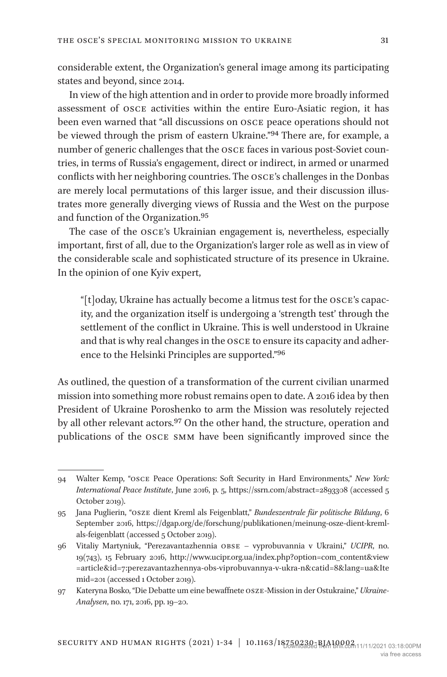considerable extent, the Organization's general image among its participating states and beyond, since 2014.

In view of the high attention and in order to provide more broadly informed assessment of osce activities within the entire Euro-Asiatic region, it has been even warned that "all discussions on osce peace operations should not be viewed through the prism of eastern Ukraine.["94](#page-30-0) There are, for example, a number of generic challenges that the osce faces in various post-Soviet countries, in terms of Russia's engagement, direct or indirect, in armed or unarmed conflicts with her neighboring countries. The osce's challenges in the Donbas are merely local permutations of this larger issue, and their discussion illustrates more generally diverging views of Russia and the West on the purpose and function of the Organization[.95](#page-30-1)

The case of the osce's Ukrainian engagement is, nevertheless, especially important, first of all, due to the Organization's larger role as well as in view of the considerable scale and sophisticated structure of its presence in Ukraine. In the opinion of one Kyiv expert,

"[t]oday, Ukraine has actually become a litmus test for the osce's capacity, and the organization itself is undergoing a 'strength test' through the settlement of the conflict in Ukraine. This is well understood in Ukraine and that is why real changes in the osce to ensure its capacity and adherence to the Helsinki Principles are supported."[96](#page-30-2)

As outlined, the question of a transformation of the current civilian unarmed mission into something more robust remains open to date. A 2016 idea by then President of Ukraine Poroshenko to arm the Mission was resolutely rejected by all other relevant actors.<sup>97</sup> On the other hand, the structure, operation and publications of the osce smm have been significantly improved since the

<span id="page-30-0"></span><sup>94</sup> Walter Kemp, "osce Peace Operations: Soft Security in Hard Environments," *New York: International Peace Institute*, June 2016, p. 5, <https://ssrn.com/abstract=2893308> (accessed 5 October 2019).

<span id="page-30-1"></span><sup>95</sup> Jana Puglierin, "osze dient Kreml als Feigenblatt," *Bundeszentrale für politische Bildung*, 6 September 2016, [https://dgap.org/de/forschung/publikationen/meinung-osze-dient-kreml](https://dgap.org/de/forschung/publikationen/meinung-osze-dient-kreml-als-feigenblatt)[als-feigenblatt](https://dgap.org/de/forschung/publikationen/meinung-osze-dient-kreml-als-feigenblatt) (accessed 5 October 2019).

<span id="page-30-2"></span><sup>96</sup> Vitaliy Martyniuk, "Perezavantazhennia obse – vyprobuvannia v Ukraini," *UCIPR*, no. 19(743), 15 February 2016, [http://www.ucipr.org.ua/index.php?option=com\\_content&view](http://www.ucipr.org.ua/index.php?option=com_content&view=article&id=7:perezavantazhennya-obs-viprobuvannya-v-ukra-n&catid=8&lang=ua&Itemid=201) [=article&id=7:perezavantazhennya-obs-viprobuvannya-v-ukra-n&catid=8&lang=ua&Ite](http://www.ucipr.org.ua/index.php?option=com_content&view=article&id=7:perezavantazhennya-obs-viprobuvannya-v-ukra-n&catid=8&lang=ua&Itemid=201) [mid=201](http://www.ucipr.org.ua/index.php?option=com_content&view=article&id=7:perezavantazhennya-obs-viprobuvannya-v-ukra-n&catid=8&lang=ua&Itemid=201) (accessed 1 October 2019).

<span id="page-30-3"></span><sup>97</sup> Kateryna Bosko, "Die Debatte um eine bewaffnete osze-Mission in der Ostukraine," *Ukraine-Analysen*, no. 171, 2016, pp. 19–20.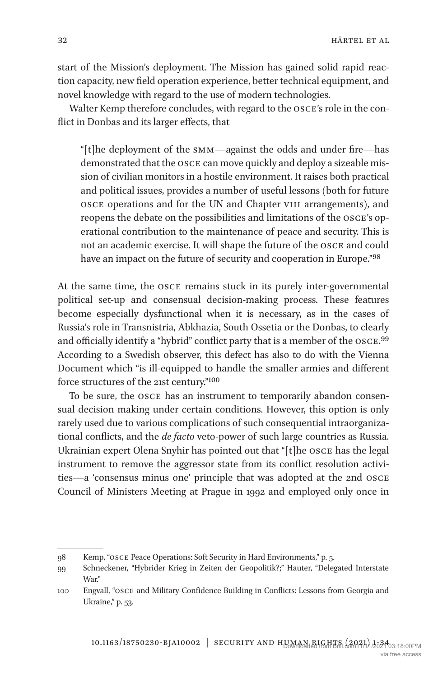start of the Mission's deployment. The Mission has gained solid rapid reaction capacity, new field operation experience, better technical equipment, and novel knowledge with regard to the use of modern technologies.

Walter Kemp therefore concludes, with regard to the osce's role in the conflict in Donbas and its larger effects, that

"[t]he deployment of the smm—against the odds and under fire—has demonstrated that the osce can move quickly and deploy a sizeable mission of civilian monitors in a hostile environment. It raises both practical and political issues, provides a number of useful lessons (both for future osce operations and for the UN and Chapter viii arrangements), and reopens the debate on the possibilities and limitations of the osce's operational contribution to the maintenance of peace and security. This is not an academic exercise. It will shape the future of the osce and could have an impact on the future of security and cooperation in Europe.["98](#page-31-0)

At the same time, the osce remains stuck in its purely inter-governmental political set-up and consensual decision-making process. These features become especially dysfunctional when it is necessary, as in the cases of Russia's role in Transnistria, Abkhazia, South Ossetia or the Donbas, to clearly and officially identify a "hybrid" conflict party that is a member of the OSCE.<sup>[99](#page-31-1)</sup> According to a Swedish observer, this defect has also to do with the Vienna Document which "is ill-equipped to handle the smaller armies and different force structures of the 21st century.["100](#page-31-2)

To be sure, the osce has an instrument to temporarily abandon consensual decision making under certain conditions. However, this option is only rarely used due to various complications of such consequential intraorganizational conflicts, and the *de facto* veto-power of such large countries as Russia. Ukrainian expert Olena Snyhir has pointed out that "[t]he osce has the legal instrument to remove the aggressor state from its conflict resolution activities—a 'consensus minus one' principle that was adopted at the 2nd osce Council of Ministers Meeting at Prague in 1992 and employed only once in

<span id="page-31-0"></span><sup>98</sup> Kemp, "osce Peace Operations: Soft Security in Hard Environments," p. 5.

<span id="page-31-1"></span><sup>99</sup> Schneckener, "Hybrider Krieg in Zeiten der Geopolitik?;" Hauter, "Delegated Interstate War."

<span id="page-31-2"></span><sup>100</sup> Engvall, "osce and Military-Confidence Building in Conflicts: Lessons from Georgia and Ukraine," p. 53.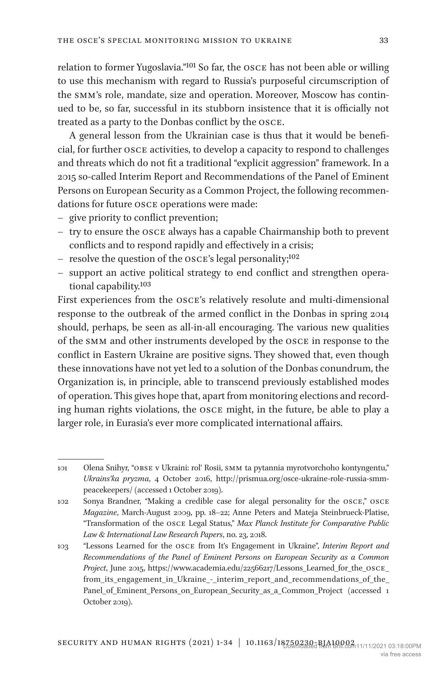relation to former Yugoslavia.["101](#page-32-0) So far, the osce has not been able or willing to use this mechanism with regard to Russia's purposeful circumscription of the smm's role, mandate, size and operation. Moreover, Moscow has continued to be, so far, successful in its stubborn insistence that it is officially not treated as a party to the Donbas conflict by the osce.

A general lesson from the Ukrainian case is thus that it would be beneficial, for further osce activities, to develop a capacity to respond to challenges and threats which do not fit a traditional "explicit aggression" framework. In a 2015 so-called Interim Report and Recommendations of the Panel of Eminent Persons on European Security as a Common Project, the following recommendations for future osce operations were made:

- give priority to conflict prevention;
- try to ensure the osce always has a capable Chairmanship both to prevent conflicts and to respond rapidly and effectively in a crisis;
- resolve the question of the  $\sigma$ sce's legal personality;<sup>[102](#page-32-1)</sup>
- support an active political strategy to end conflict and strengthen operational capability.[103](#page-32-2)

First experiences from the osce's relatively resolute and multi-dimensional response to the outbreak of the armed conflict in the Donbas in spring 2014 should, perhaps, be seen as all-in-all encouraging. The various new qualities of the smm and other instruments developed by the osce in response to the conflict in Eastern Ukraine are positive signs. They showed that, even though these innovations have not yet led to a solution of the Donbas conundrum, the Organization is, in principle, able to transcend previously established modes of operation. This gives hope that, apart from monitoring elections and recording human rights violations, the osce might, in the future, be able to play a larger role, in Eurasia's ever more complicated international affairs.

<span id="page-32-0"></span><sup>101</sup> Olena Snihyr, "obse v Ukraini: rol' Rosii, smm ta pytannia myrotvorchoho kontyngentu," *Ukrains'ka pryzma*, 4 October 2016, [http://prismua.org/osce-ukraine-role-russia-smm](http://prismua.org/osce-ukraine-role-russia-smm-peacekeepers/)[peacekeepers/](http://prismua.org/osce-ukraine-role-russia-smm-peacekeepers/) (accessed 1 October 2019).

<span id="page-32-1"></span><sup>102</sup> Sonya Brandner, "Making a credible case for alegal personality for the OSCE," OSCE *Magazine*, March-August 2009, pp. 18–22; Anne Peters and Mateja Steinbrueck-Platise, "Transformation of the osce Legal Status," *Max Planck Institute for Comparative Public Law & International Law Research Papers*, no. 23, 2018.

<span id="page-32-2"></span><sup>103</sup> "Lessons Learned for the osce from It's Engagement in Ukraine", *Interim Report and Recommendations of the Panel of Eminent Persons on European Security as a Common Project*, June 2015, [https://www.academia.edu/22566217/Lessons\\_Learned\\_for\\_the\\_OSCE\\_](https://www.academia.edu/22566217/Lessons_Learned_for_the_OSCE_from_its_engagement_in_Ukraine_-_interim_report_and_recommendations_of_the_Panel_of_Eminent_Persons_on_European_Security_as_a_Common_Project) [from\\_its\\_engagement\\_in\\_Ukraine\\_-\\_interim\\_report\\_and\\_recommendations\\_of\\_the\\_](https://www.academia.edu/22566217/Lessons_Learned_for_the_OSCE_from_its_engagement_in_Ukraine_-_interim_report_and_recommendations_of_the_Panel_of_Eminent_Persons_on_European_Security_as_a_Common_Project) Panel of Eminent Persons on European Security as a Common Project (accessed 1 October 2019).